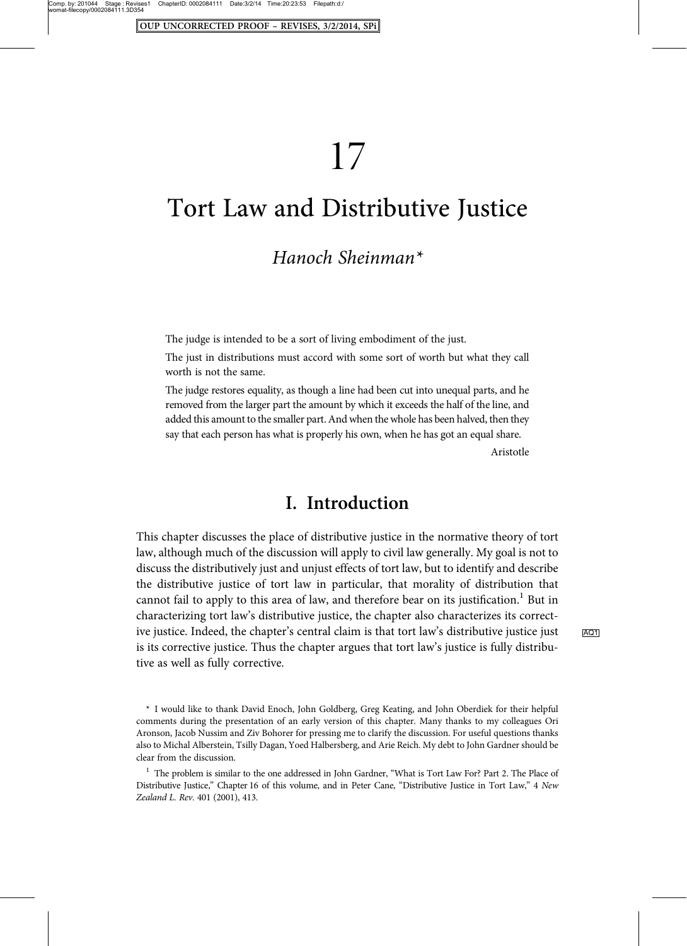Comp. by: 201044 Stage : Revises1 ChapterID: 0002084111 Date:3/2/14 Time:20:23:53 Filepath:d:/ womat-filecopy/0002084111.3D354

OUP UNCORRECTED PROOF – REVISES, 3/2/2014, SPi

# 17

## Tort Law and Distributive Justice

## Hanoch Sheinman\*

The judge is intended to be a sort of living embodiment of the just.

The just in distributions must accord with some sort of worth but what they call worth is not the same.

The judge restores equality, as though a line had been cut into unequal parts, and he removed from the larger part the amount by which it exceeds the half of the line, and added this amount to the smaller part. And when the whole has been halved, then they say that each person has what is properly his own, when he has got an equal share.

Aristotle

## I. Introduction

This chapter discusses the place of distributive justice in the normative theory of tort law, although much of the discussion will apply to civil law generally. My goal is not to discuss the distributively just and unjust effects of tort law, but to identify and describe the distributive justice of tort law in particular, that morality of distribution that cannot fail to apply to this area of law, and therefore bear on its justification.<sup>1</sup> But in characterizing tort law's distributive justice, the chapter also characterizes its corrective justice. Indeed, the chapter's central claim is that tort law's distributive justice just  $\overline{AQ1}$ is its corrective justice. Thus the chapter argues that tort law's justice is fully distributive as well as fully corrective.

\* I would like to thank David Enoch, John Goldberg, Greg Keating, and John Oberdiek for their helpful comments during the presentation of an early version of this chapter. Many thanks to my colleagues Ori Aronson, Jacob Nussim and Ziv Bohorer for pressing me to clarify the discussion. For useful questions thanks also to Michal Alberstein, Tsilly Dagan, Yoed Halbersberg, and Arie Reich. My debt to John Gardner should be clear from the discussion.

<sup>1</sup> The problem is similar to the one addressed in John Gardner, "What is Tort Law For? Part 2. The Place of Distributive Justice," Chapter 16 of this volume, and in Peter Cane, "Distributive Justice in Tort Law," 4 New Zealand L. Rev. 401 (2001), 413.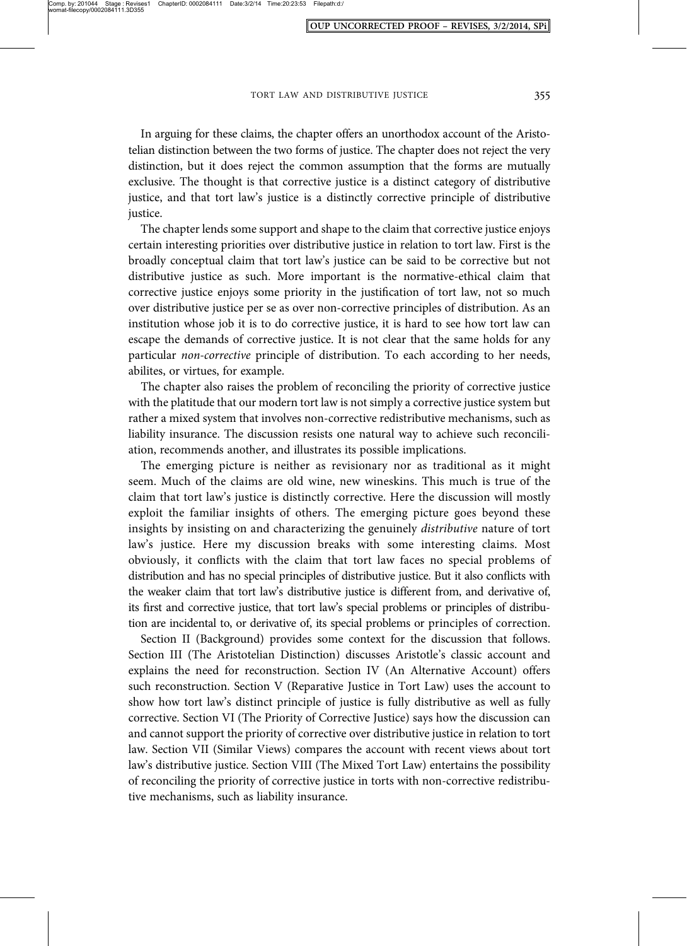ChapterID: 0002084111 Date:3/2/14 Time:20:23:53 Filepath:d: .<br>20 cmp. by: 201044 Stage : Revi<br>filecopy/0002084111.3D3

#### OUP UNCORRECTED PROOF – REVISES, 3/2/2014, SPi

#### TORT LAW AND DISTRIBUTIVE JUSTICE 355

In arguing for these claims, the chapter offers an unorthodox account of the Aristotelian distinction between the two forms of justice. The chapter does not reject the very distinction, but it does reject the common assumption that the forms are mutually exclusive. The thought is that corrective justice is a distinct category of distributive justice, and that tort law's justice is a distinctly corrective principle of distributive justice.

The chapter lends some support and shape to the claim that corrective justice enjoys certain interesting priorities over distributive justice in relation to tort law. First is the broadly conceptual claim that tort law's justice can be said to be corrective but not distributive justice as such. More important is the normative-ethical claim that corrective justice enjoys some priority in the justification of tort law, not so much over distributive justice per se as over non-corrective principles of distribution. As an institution whose job it is to do corrective justice, it is hard to see how tort law can escape the demands of corrective justice. It is not clear that the same holds for any particular non-corrective principle of distribution. To each according to her needs, abilites, or virtues, for example.

The chapter also raises the problem of reconciling the priority of corrective justice with the platitude that our modern tort law is not simply a corrective justice system but rather a mixed system that involves non-corrective redistributive mechanisms, such as liability insurance. The discussion resists one natural way to achieve such reconciliation, recommends another, and illustrates its possible implications.

The emerging picture is neither as revisionary nor as traditional as it might seem. Much of the claims are old wine, new wineskins. This much is true of the claim that tort law's justice is distinctly corrective. Here the discussion will mostly exploit the familiar insights of others. The emerging picture goes beyond these insights by insisting on and characterizing the genuinely distributive nature of tort law's justice. Here my discussion breaks with some interesting claims. Most obviously, it conflicts with the claim that tort law faces no special problems of distribution and has no special principles of distributive justice. But it also conflicts with the weaker claim that tort law's distributive justice is different from, and derivative of, its first and corrective justice, that tort law's special problems or principles of distribution are incidental to, or derivative of, its special problems or principles of correction.

Section II (Background) provides some context for the discussion that follows. Section III (The Aristotelian Distinction) discusses Aristotle's classic account and explains the need for reconstruction. Section IV (An Alternative Account) offers such reconstruction. Section V (Reparative Justice in Tort Law) uses the account to show how tort law's distinct principle of justice is fully distributive as well as fully corrective. Section VI (The Priority of Corrective Justice) says how the discussion can and cannot support the priority of corrective over distributive justice in relation to tort law. Section VII (Similar Views) compares the account with recent views about tort law's distributive justice. Section VIII (The Mixed Tort Law) entertains the possibility of reconciling the priority of corrective justice in torts with non-corrective redistributive mechanisms, such as liability insurance.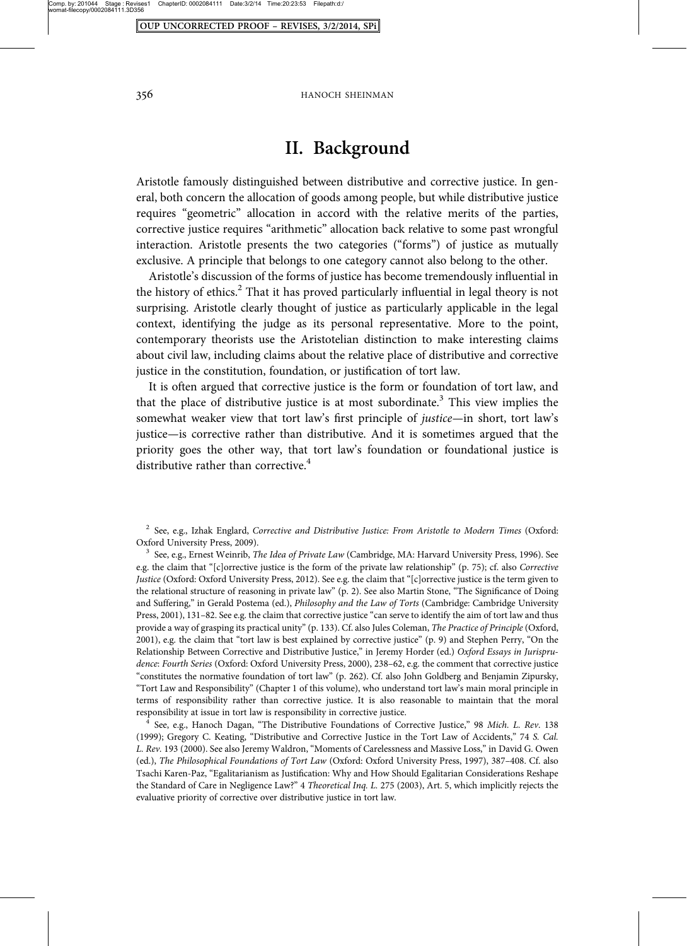356 HANOCH SHEINMAN

## II. Background

Aristotle famously distinguished between distributive and corrective justice. In general, both concern the allocation of goods among people, but while distributive justice requires "geometric" allocation in accord with the relative merits of the parties, corrective justice requires "arithmetic" allocation back relative to some past wrongful interaction. Aristotle presents the two categories ("forms") of justice as mutually exclusive. A principle that belongs to one category cannot also belong to the other.

Aristotle's discussion of the forms of justice has become tremendously influential in the history of ethics.<sup>2</sup> That it has proved particularly influential in legal theory is not surprising. Aristotle clearly thought of justice as particularly applicable in the legal context, identifying the judge as its personal representative. More to the point, contemporary theorists use the Aristotelian distinction to make interesting claims about civil law, including claims about the relative place of distributive and corrective justice in the constitution, foundation, or justification of tort law.

It is often argued that corrective justice is the form or foundation of tort law, and that the place of distributive justice is at most subordinate.<sup>3</sup> This view implies the somewhat weaker view that tort law's first principle of justice—in short, tort law's justice—is corrective rather than distributive. And it is sometimes argued that the priority goes the other way, that tort law's foundation or foundational justice is distributive rather than corrective.<sup>4</sup>

e.g. the claim that "[c]orrective justice is the form of the private law relationship" (p. 75); cf. also Corrective Justice (Oxford: Oxford University Press, 2012). See e.g. the claim that "[c]orrective justice is the term given to the relational structure of reasoning in private law" (p. 2). See also Martin Stone, "The Significance of Doing and Suffering," in Gerald Postema (ed.), Philosophy and the Law of Torts (Cambridge: Cambridge University Press, 2001), 131–82. See e.g. the claim that corrective justice "can serve to identify the aim of tort law and thus provide a way of grasping its practical unity" (p. 133). Cf. also Jules Coleman, The Practice of Principle (Oxford, 2001), e.g. the claim that "tort law is best explained by corrective justice" (p. 9) and Stephen Perry, "On the Relationship Between Corrective and Distributive Justice," in Jeremy Horder (ed.) Oxford Essays in Jurisprudence: Fourth Series (Oxford: Oxford University Press, 2000), 238–62, e.g. the comment that corrective justice "constitutes the normative foundation of tort law" (p. 262). Cf. also John Goldberg and Benjamin Zipursky, "Tort Law and Responsibility" (Chapter 1 of this volume), who understand tort law's main moral principle in terms of responsibility rather than corrective justice. It is also reasonable to maintain that the moral

responsibility at issue in tort law is responsibility in corrective justice. <sup>4</sup> See, e.g., Hanoch Dagan, "The Distributive Foundations of Corrective Justice," <sup>98</sup> Mich. L. Rev. 138 (1999); Gregory C. Keating, "Distributive and Corrective Justice in the Tort Law of Accidents," 74 S. Cal. L. Rev. 193 (2000). See also Jeremy Waldron, "Moments of Carelessness and Massive Loss," in David G. Owen (ed.), The Philosophical Foundations of Tort Law (Oxford: Oxford University Press, 1997), 387–408. Cf. also Tsachi Karen-Paz, "Egalitarianism as Justification: Why and How Should Egalitarian Considerations Reshape the Standard of Care in Negligence Law?" 4 Theoretical Inq. L. 275 (2003), Art. 5, which implicitly rejects the evaluative priority of corrective over distributive justice in tort law.

<sup>&</sup>lt;sup>2</sup> See, e.g., Izhak Englard, Corrective and Distributive Justice: From Aristotle to Modern Times (Oxford: Oxford University Press, 2009).<br><sup>3</sup> See, e.g., Ernest Weinrib, *The Idea of Private Law* (Cambridge, MA: Harvard University Press, 1996). See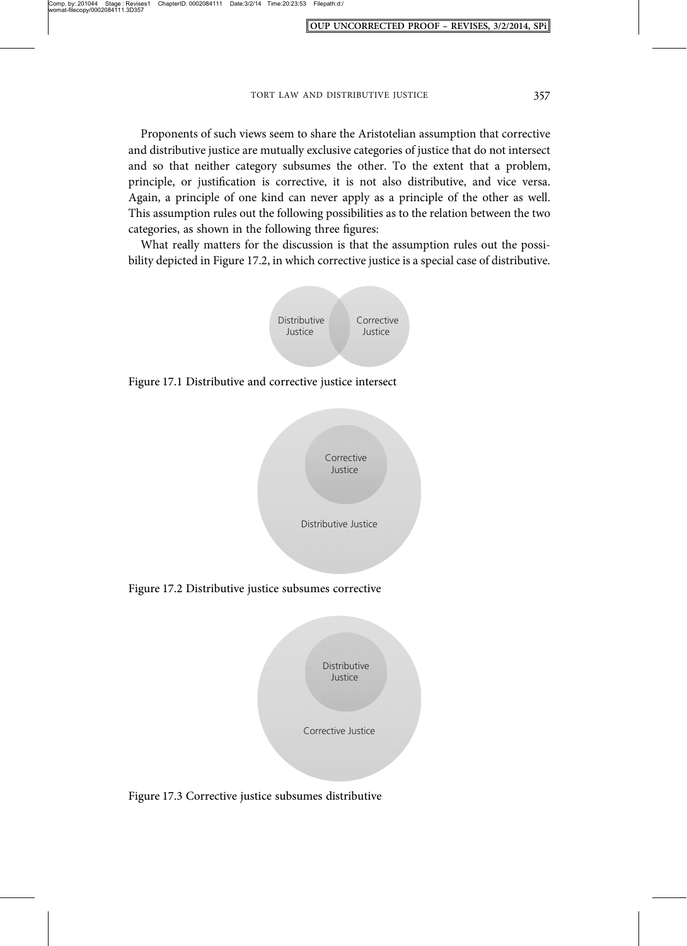#### TORT LAW AND DISTRIBUTIVE JUSTICE 357

Proponents of such views seem to share the Aristotelian assumption that corrective and distributive justice are mutually exclusive categories of justice that do not intersect and so that neither category subsumes the other. To the extent that a problem, principle, or justification is corrective, it is not also distributive, and vice versa. Again, a principle of one kind can never apply as a principle of the other as well. This assumption rules out the following possibilities as to the relation between the two categories, as shown in the following three figures:

What really matters for the discussion is that the assumption rules out the possibility depicted in Figure 17.2, in which corrective justice is a special case of distributive.



Figure 17.3 Corrective justice subsumes distributive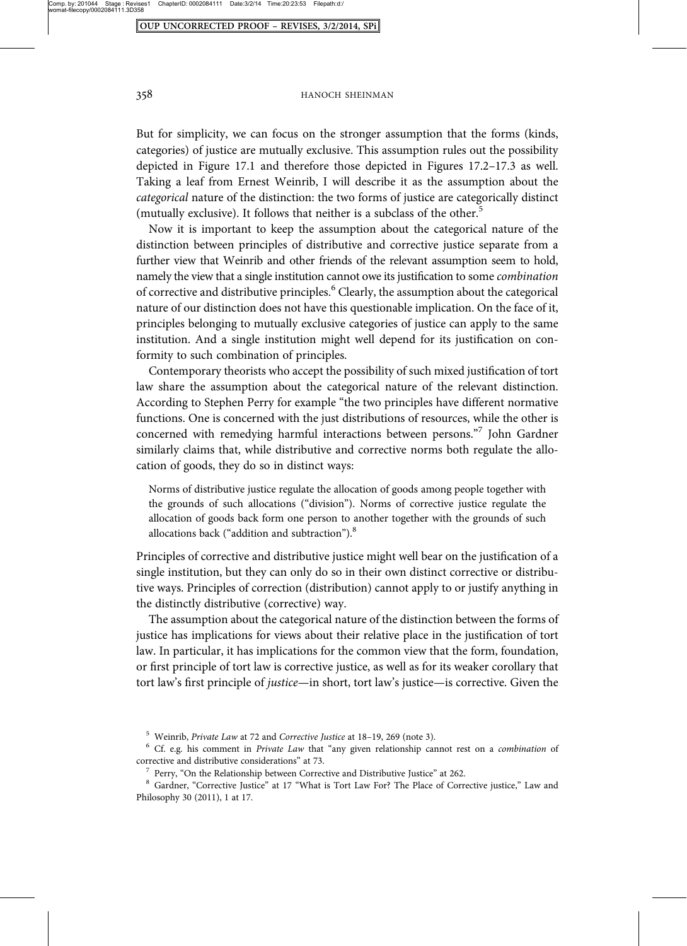358 HANOCH SHEINMAN

But for simplicity, we can focus on the stronger assumption that the forms (kinds, categories) of justice are mutually exclusive. This assumption rules out the possibility depicted in Figure 17.1 and therefore those depicted in Figures 17.2–17.3 as well. Taking a leaf from Ernest Weinrib, I will describe it as the assumption about the categorical nature of the distinction: the two forms of justice are categorically distinct (mutually exclusive). It follows that neither is a subclass of the other.<sup>5</sup>

Now it is important to keep the assumption about the categorical nature of the distinction between principles of distributive and corrective justice separate from a further view that Weinrib and other friends of the relevant assumption seem to hold, namely the view that a single institution cannot owe its justification to some combination of corrective and distributive principles.<sup>6</sup> Clearly, the assumption about the categorical nature of our distinction does not have this questionable implication. On the face of it, principles belonging to mutually exclusive categories of justice can apply to the same institution. And a single institution might well depend for its justification on conformity to such combination of principles.

Contemporary theorists who accept the possibility of such mixed justification of tort law share the assumption about the categorical nature of the relevant distinction. According to Stephen Perry for example "the two principles have different normative functions. One is concerned with the just distributions of resources, while the other is concerned with remedying harmful interactions between persons." <sup>7</sup> John Gardner similarly claims that, while distributive and corrective norms both regulate the allocation of goods, they do so in distinct ways:

Norms of distributive justice regulate the allocation of goods among people together with the grounds of such allocations ("division"). Norms of corrective justice regulate the allocation of goods back form one person to another together with the grounds of such allocations back ("addition and subtraction").<sup>8</sup>

Principles of corrective and distributive justice might well bear on the justification of a single institution, but they can only do so in their own distinct corrective or distributive ways. Principles of correction (distribution) cannot apply to or justify anything in the distinctly distributive (corrective) way.

The assumption about the categorical nature of the distinction between the forms of justice has implications for views about their relative place in the justification of tort law. In particular, it has implications for the common view that the form, foundation, or first principle of tort law is corrective justice, as well as for its weaker corollary that tort law's first principle of justice—in short, tort law's justice—is corrective. Given the

<sup>&</sup>lt;sup>5</sup> Weinrib, *Private Law* at 72 and *Corrective Justice* at 18–19, 269 (note 3).<br><sup>6</sup> Cf. e.g. his comment in *Private Law* that "any given relationship cannot rest on a *combination* of corrective and distributive considerations" at 73.<br><sup>7</sup> Perry, "On the Relationship between Corrective and Distributive Justice" at 262.<br><sup>8</sup> Gardner, "Corrective Justice" at 17 "What is Tort Law For? The Place of Corrective

Philosophy 30 (2011), 1 at 17.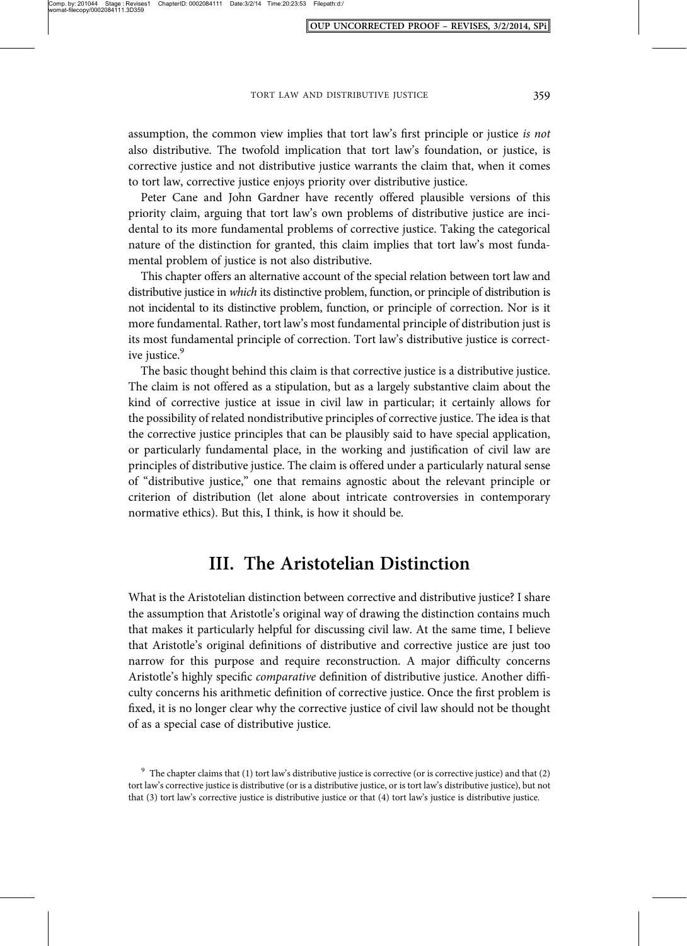#### TORT LAW AND DISTRIBUTIVE JUSTICE 359

assumption, the common view implies that tort law's first principle or justice is not also distributive. The twofold implication that tort law's foundation, or justice, is corrective justice and not distributive justice warrants the claim that, when it comes to tort law, corrective justice enjoys priority over distributive justice.

Peter Cane and John Gardner have recently offered plausible versions of this priority claim, arguing that tort law's own problems of distributive justice are incidental to its more fundamental problems of corrective justice. Taking the categorical nature of the distinction for granted, this claim implies that tort law's most fundamental problem of justice is not also distributive.

This chapter offers an alternative account of the special relation between tort law and distributive justice in which its distinctive problem, function, or principle of distribution is not incidental to its distinctive problem, function, or principle of correction. Nor is it more fundamental. Rather, tort law's most fundamental principle of distribution just is its most fundamental principle of correction. Tort law's distributive justice is corrective justice.<sup>9</sup>

The basic thought behind this claim is that corrective justice is a distributive justice. The claim is not offered as a stipulation, but as a largely substantive claim about the kind of corrective justice at issue in civil law in particular; it certainly allows for the possibility of related nondistributive principles of corrective justice. The idea is that the corrective justice principles that can be plausibly said to have special application, or particularly fundamental place, in the working and justification of civil law are principles of distributive justice. The claim is offered under a particularly natural sense of "distributive justice," one that remains agnostic about the relevant principle or criterion of distribution (let alone about intricate controversies in contemporary normative ethics). But this, I think, is how it should be.

## III. The Aristotelian Distinction

What is the Aristotelian distinction between corrective and distributive justice? I share the assumption that Aristotle's original way of drawing the distinction contains much that makes it particularly helpful for discussing civil law. At the same time, I believe that Aristotle's original definitions of distributive and corrective justice are just too narrow for this purpose and require reconstruction. A major difficulty concerns Aristotle's highly specific comparative definition of distributive justice. Another difficulty concerns his arithmetic definition of corrective justice. Once the first problem is fixed, it is no longer clear why the corrective justice of civil law should not be thought of as a special case of distributive justice.

<sup>9</sup> The chapter claims that (1) tort law's distributive justice is corrective (or is corrective justice) and that (2) tort law's corrective justice is distributive (or is a distributive justice, or is tort law's distributive justice), but not that (3) tort law's corrective justice is distributive justice or that (4) tort law's justice is distributive justice.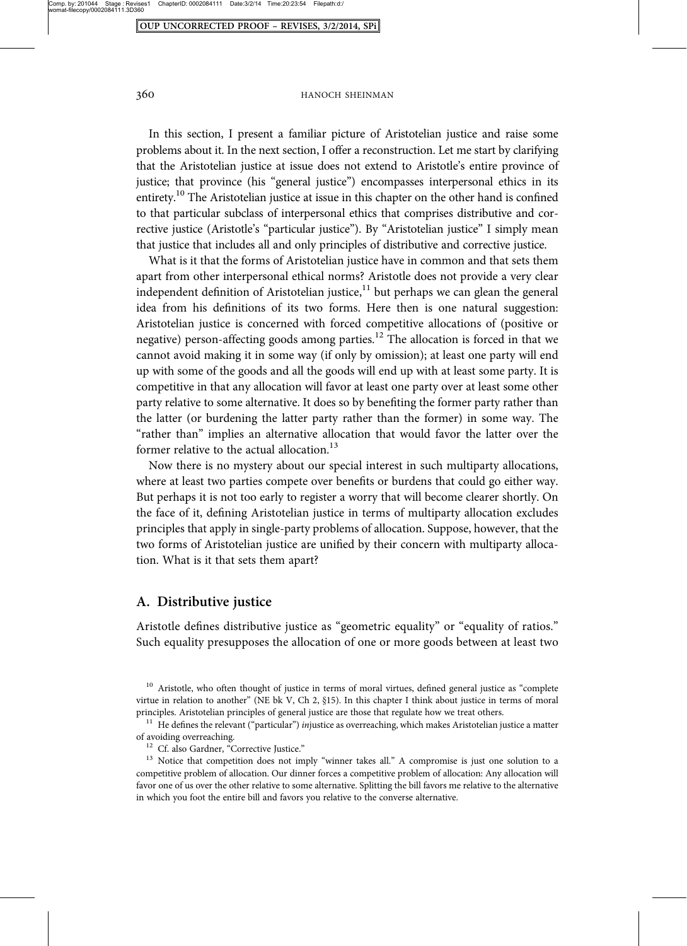#### 360 HANOCH SHEINMAN

In this section, I present a familiar picture of Aristotelian justice and raise some problems about it. In the next section, I offer a reconstruction. Let me start by clarifying that the Aristotelian justice at issue does not extend to Aristotle's entire province of justice; that province (his "general justice") encompasses interpersonal ethics in its entirety.<sup>10</sup> The Aristotelian justice at issue in this chapter on the other hand is confined to that particular subclass of interpersonal ethics that comprises distributive and corrective justice (Aristotle's "particular justice"). By "Aristotelian justice" I simply mean that justice that includes all and only principles of distributive and corrective justice.

What is it that the forms of Aristotelian justice have in common and that sets them apart from other interpersonal ethical norms? Aristotle does not provide a very clear independent definition of Aristotelian justice, $11$  but perhaps we can glean the general idea from his definitions of its two forms. Here then is one natural suggestion: Aristotelian justice is concerned with forced competitive allocations of (positive or negative) person-affecting goods among parties.<sup>12</sup> The allocation is forced in that we cannot avoid making it in some way (if only by omission); at least one party will end up with some of the goods and all the goods will end up with at least some party. It is competitive in that any allocation will favor at least one party over at least some other party relative to some alternative. It does so by benefiting the former party rather than the latter (or burdening the latter party rather than the former) in some way. The "rather than" implies an alternative allocation that would favor the latter over the former relative to the actual allocation.<sup>13</sup>

Now there is no mystery about our special interest in such multiparty allocations, where at least two parties compete over benefits or burdens that could go either way. But perhaps it is not too early to register a worry that will become clearer shortly. On the face of it, defining Aristotelian justice in terms of multiparty allocation excludes principles that apply in single-party problems of allocation. Suppose, however, that the two forms of Aristotelian justice are unified by their concern with multiparty allocation. What is it that sets them apart?

#### A. Distributive justice

Aristotle defines distributive justice as "geometric equality" or "equality of ratios." Such equality presupposes the allocation of one or more goods between at least two

<sup>10</sup> Aristotle, who often thought of justice in terms of moral virtues, defined general justice as "complete" virtue in relation to another" (NE bk V, Ch 2, §15). In this chapter I think about justice in terms of moral principles. Aristotelian principles of general justice are those that regulate how we treat others.  $^\mathrm{11}$  He defines the relevant ("particular") *in*justice as overreaching, which makes Aristotelian justice a matter

of avoiding overreaching.<br><sup>12</sup> Cf. also Gardner, "Corrective Justice." <sup>13</sup> Notice that competition does not imply "winner takes all." A compromise is just one solution to a

competitive problem of allocation. Our dinner forces a competitive problem of allocation: Any allocation will favor one of us over the other relative to some alternative. Splitting the bill favors me relative to the alternative in which you foot the entire bill and favors you relative to the converse alternative.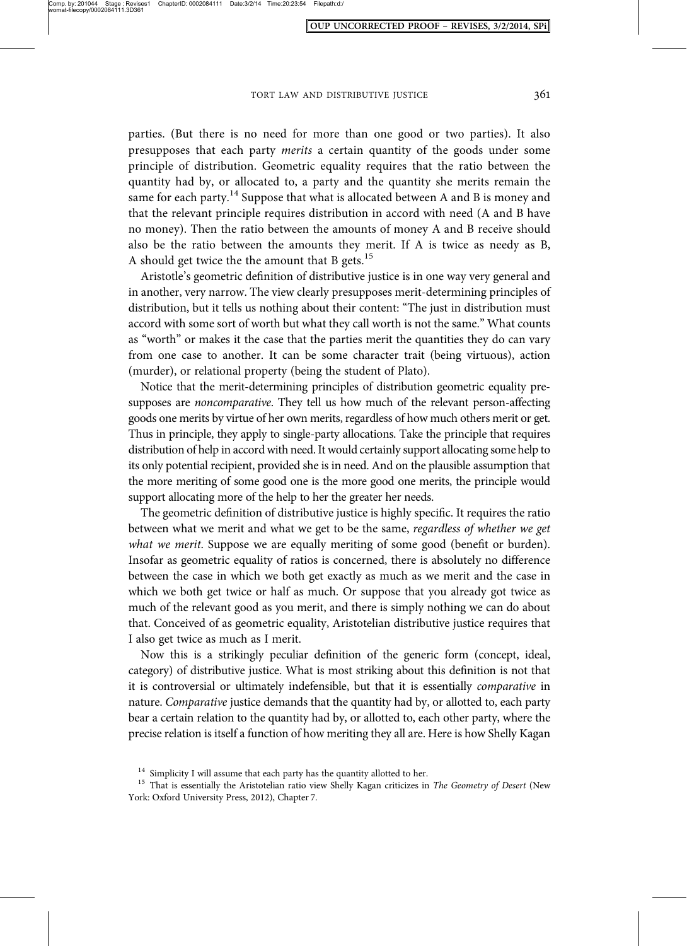ChapterID: 0002084111 Date:3/2/14 Time:20:23:54 Filepath:d: Comp. by: 201044 Stage : Revise<br>vomat-filecopy/0002084111.3D361

#### OUP UNCORRECTED PROOF – REVISES, 3/2/2014, SPi

#### TORT LAW AND DISTRIBUTIVE JUSTICE 361

parties. (But there is no need for more than one good or two parties). It also presupposes that each party merits a certain quantity of the goods under some principle of distribution. Geometric equality requires that the ratio between the quantity had by, or allocated to, a party and the quantity she merits remain the same for each party.<sup>14</sup> Suppose that what is allocated between A and B is money and that the relevant principle requires distribution in accord with need (A and B have no money). Then the ratio between the amounts of money A and B receive should also be the ratio between the amounts they merit. If A is twice as needy as B, A should get twice the the amount that B gets.<sup>15</sup>

Aristotle's geometric definition of distributive justice is in one way very general and in another, very narrow. The view clearly presupposes merit-determining principles of distribution, but it tells us nothing about their content: "The just in distribution must accord with some sort of worth but what they call worth is not the same." What counts as "worth" or makes it the case that the parties merit the quantities they do can vary from one case to another. It can be some character trait (being virtuous), action (murder), or relational property (being the student of Plato).

Notice that the merit-determining principles of distribution geometric equality presupposes are noncomparative. They tell us how much of the relevant person-affecting goods one merits by virtue of her own merits, regardless of how much others merit or get. Thus in principle, they apply to single-party allocations. Take the principle that requires distribution of help in accord with need. It would certainly support allocating some help to its only potential recipient, provided she is in need. And on the plausible assumption that the more meriting of some good one is the more good one merits, the principle would support allocating more of the help to her the greater her needs.

The geometric definition of distributive justice is highly specific. It requires the ratio between what we merit and what we get to be the same, regardless of whether we get what we merit. Suppose we are equally meriting of some good (benefit or burden). Insofar as geometric equality of ratios is concerned, there is absolutely no difference between the case in which we both get exactly as much as we merit and the case in which we both get twice or half as much. Or suppose that you already got twice as much of the relevant good as you merit, and there is simply nothing we can do about that. Conceived of as geometric equality, Aristotelian distributive justice requires that I also get twice as much as I merit.

Now this is a strikingly peculiar definition of the generic form (concept, ideal, category) of distributive justice. What is most striking about this definition is not that it is controversial or ultimately indefensible, but that it is essentially comparative in nature. Comparative justice demands that the quantity had by, or allotted to, each party bear a certain relation to the quantity had by, or allotted to, each other party, where the precise relation is itself a function of how meriting they all are. Here is how Shelly Kagan

<sup>&</sup>lt;sup>14</sup> Simplicity I will assume that each party has the quantity allotted to her.<br><sup>15</sup> That is essentially the Aristotelian ratio view Shelly Kagan criticizes in *The Geometry of Desert* (New York: Oxford University Press, 2012), Chapter 7.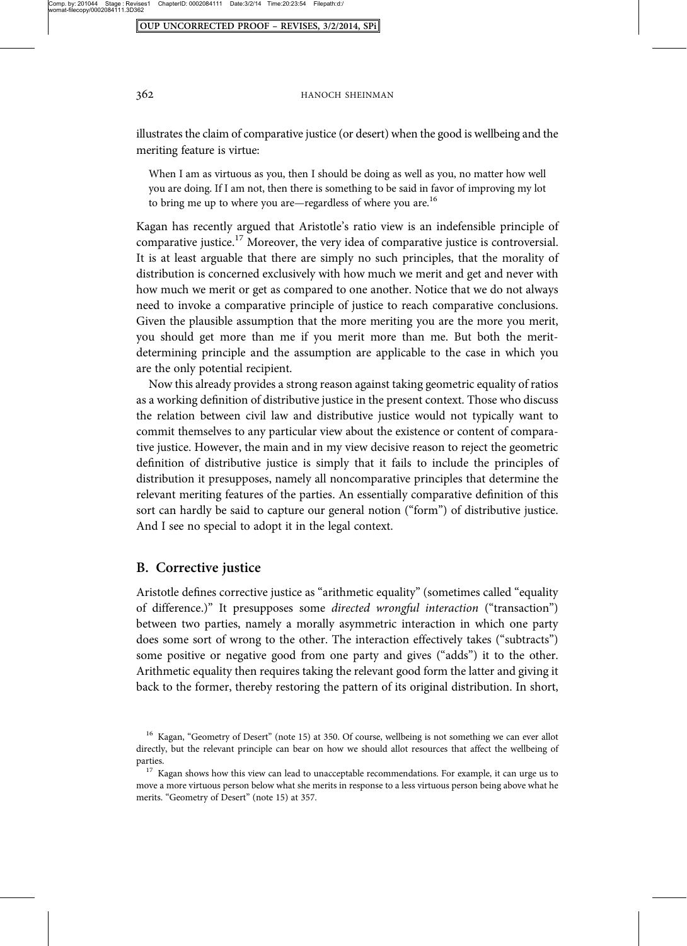362 HANOCH SHEINMAN

illustrates the claim of comparative justice (or desert) when the good is wellbeing and the meriting feature is virtue:

When I am as virtuous as you, then I should be doing as well as you, no matter how well you are doing. If I am not, then there is something to be said in favor of improving my lot to bring me up to where you are—regardless of where you are.<sup>16</sup>

Kagan has recently argued that Aristotle's ratio view is an indefensible principle of comparative justice.<sup>17</sup> Moreover, the very idea of comparative justice is controversial. It is at least arguable that there are simply no such principles, that the morality of distribution is concerned exclusively with how much we merit and get and never with how much we merit or get as compared to one another. Notice that we do not always need to invoke a comparative principle of justice to reach comparative conclusions. Given the plausible assumption that the more meriting you are the more you merit, you should get more than me if you merit more than me. But both the meritdetermining principle and the assumption are applicable to the case in which you are the only potential recipient.

Now this already provides a strong reason against taking geometric equality of ratios as a working definition of distributive justice in the present context. Those who discuss the relation between civil law and distributive justice would not typically want to commit themselves to any particular view about the existence or content of comparative justice. However, the main and in my view decisive reason to reject the geometric definition of distributive justice is simply that it fails to include the principles of distribution it presupposes, namely all noncomparative principles that determine the relevant meriting features of the parties. An essentially comparative definition of this sort can hardly be said to capture our general notion ("form") of distributive justice. And I see no special to adopt it in the legal context.

#### B. Corrective justice

Aristotle defines corrective justice as "arithmetic equality" (sometimes called "equality of difference.)" It presupposes some directed wrongful interaction ("transaction") between two parties, namely a morally asymmetric interaction in which one party does some sort of wrong to the other. The interaction effectively takes ("subtracts") some positive or negative good from one party and gives ("adds") it to the other. Arithmetic equality then requires taking the relevant good form the latter and giving it back to the former, thereby restoring the pattern of its original distribution. In short,

<sup>&</sup>lt;sup>16</sup> Kagan, "Geometry of Desert" (note 15) at 350. Of course, wellbeing is not something we can ever allot directly, but the relevant principle can bear on how we should allot resources that affect the wellbeing of parties.<br><sup>17</sup> Kagan shows how this view can lead to unacceptable recommendations. For example, it can urge us to

move a more virtuous person below what she merits in response to a less virtuous person being above what he merits. "Geometry of Desert" (note 15) at 357.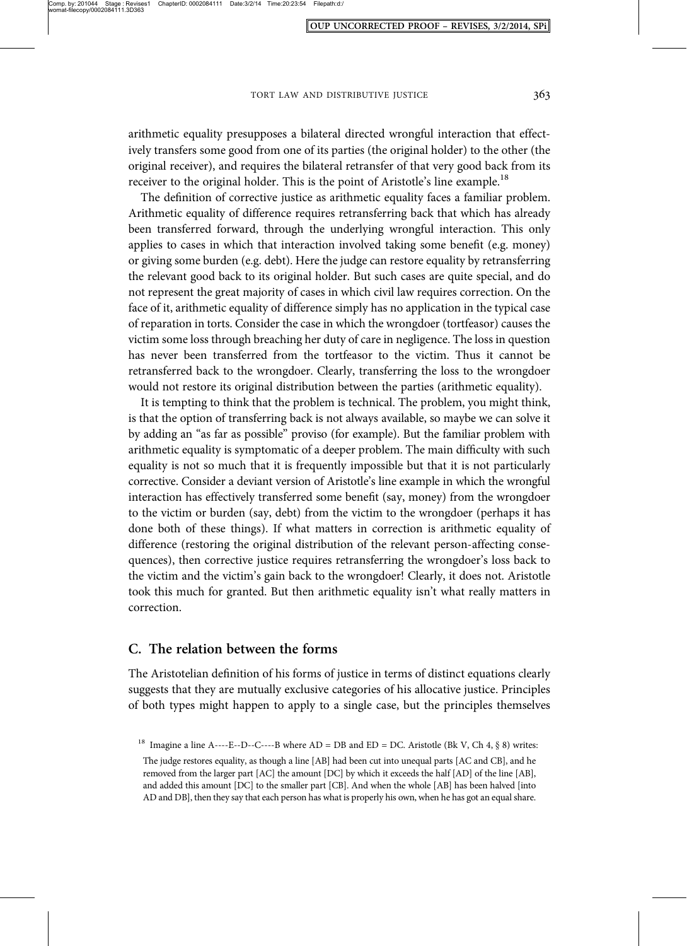#### TORT LAW AND DISTRIBUTIVE JUSTICE 363

arithmetic equality presupposes a bilateral directed wrongful interaction that effectively transfers some good from one of its parties (the original holder) to the other (the original receiver), and requires the bilateral retransfer of that very good back from its receiver to the original holder. This is the point of Aristotle's line example.<sup>18</sup>

The definition of corrective justice as arithmetic equality faces a familiar problem. Arithmetic equality of difference requires retransferring back that which has already been transferred forward, through the underlying wrongful interaction. This only applies to cases in which that interaction involved taking some benefit (e.g. money) or giving some burden (e.g. debt). Here the judge can restore equality by retransferring the relevant good back to its original holder. But such cases are quite special, and do not represent the great majority of cases in which civil law requires correction. On the face of it, arithmetic equality of difference simply has no application in the typical case of reparation in torts. Consider the case in which the wrongdoer (tortfeasor) causes the victim some loss through breaching her duty of care in negligence. The loss in question has never been transferred from the tortfeasor to the victim. Thus it cannot be retransferred back to the wrongdoer. Clearly, transferring the loss to the wrongdoer would not restore its original distribution between the parties (arithmetic equality).

It is tempting to think that the problem is technical. The problem, you might think, is that the option of transferring back is not always available, so maybe we can solve it by adding an "as far as possible" proviso (for example). But the familiar problem with arithmetic equality is symptomatic of a deeper problem. The main difficulty with such equality is not so much that it is frequently impossible but that it is not particularly corrective. Consider a deviant version of Aristotle's line example in which the wrongful interaction has effectively transferred some benefit (say, money) from the wrongdoer to the victim or burden (say, debt) from the victim to the wrongdoer (perhaps it has done both of these things). If what matters in correction is arithmetic equality of difference (restoring the original distribution of the relevant person-affecting consequences), then corrective justice requires retransferring the wrongdoer's loss back to the victim and the victim's gain back to the wrongdoer! Clearly, it does not. Aristotle took this much for granted. But then arithmetic equality isn't what really matters in correction.

#### C. The relation between the forms

The Aristotelian definition of his forms of justice in terms of distinct equations clearly suggests that they are mutually exclusive categories of his allocative justice. Principles of both types might happen to apply to a single case, but the principles themselves

 $18$  Imagine a line A----E--D--C----B where AD = DB and ED = DC. Aristotle (Bk V, Ch 4, § 8) writes:

The judge restores equality, as though a line [AB] had been cut into unequal parts [AC and CB], and he removed from the larger part [AC] the amount [DC] by which it exceeds the half [AD] of the line [AB], and added this amount [DC] to the smaller part [CB]. And when the whole [AB] has been halved [into AD and DB], then they say that each person has what is properly his own, when he has got an equal share.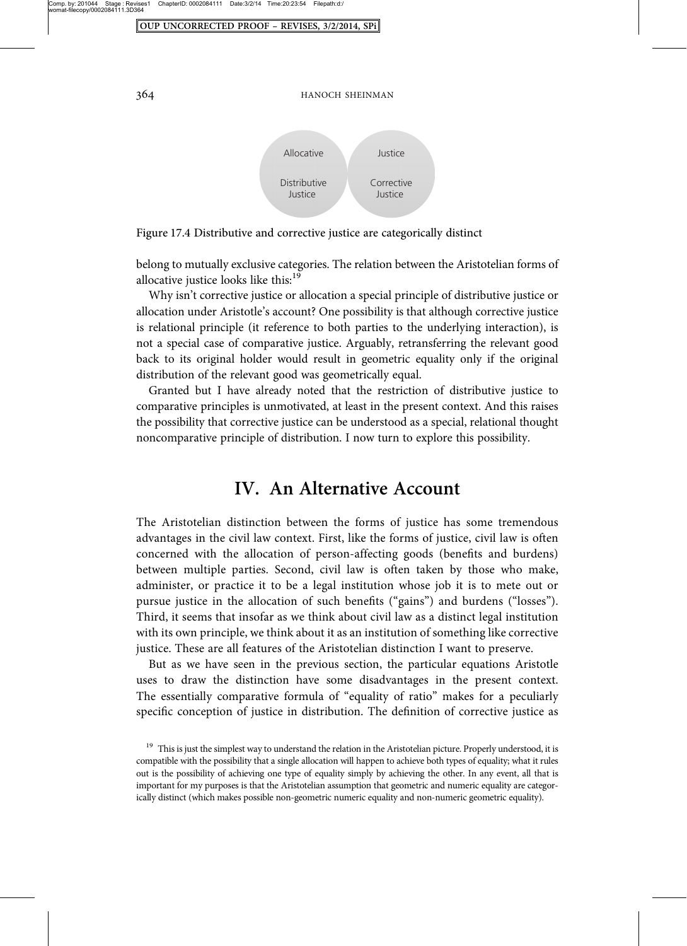



Figure 17.4 Distributive and corrective justice are categorically distinct

belong to mutually exclusive categories. The relation between the Aristotelian forms of allocative justice looks like this:<sup>19</sup>

Why isn't corrective justice or allocation a special principle of distributive justice or allocation under Aristotle's account? One possibility is that although corrective justice is relational principle (it reference to both parties to the underlying interaction), is not a special case of comparative justice. Arguably, retransferring the relevant good back to its original holder would result in geometric equality only if the original distribution of the relevant good was geometrically equal.

Granted but I have already noted that the restriction of distributive justice to comparative principles is unmotivated, at least in the present context. And this raises the possibility that corrective justice can be understood as a special, relational thought noncomparative principle of distribution. I now turn to explore this possibility.

## IV. An Alternative Account

The Aristotelian distinction between the forms of justice has some tremendous advantages in the civil law context. First, like the forms of justice, civil law is often concerned with the allocation of person-affecting goods (benefits and burdens) between multiple parties. Second, civil law is often taken by those who make, administer, or practice it to be a legal institution whose job it is to mete out or pursue justice in the allocation of such benefits ("gains") and burdens ("losses"). Third, it seems that insofar as we think about civil law as a distinct legal institution with its own principle, we think about it as an institution of something like corrective justice. These are all features of the Aristotelian distinction I want to preserve.

But as we have seen in the previous section, the particular equations Aristotle uses to draw the distinction have some disadvantages in the present context. The essentially comparative formula of "equality of ratio" makes for a peculiarly specific conception of justice in distribution. The definition of corrective justice as

<sup>&</sup>lt;sup>19</sup> This is just the simplest way to understand the relation in the Aristotelian picture. Properly understood, it is compatible with the possibility that a single allocation will happen to achieve both types of equality; what it rules out is the possibility of achieving one type of equality simply by achieving the other. In any event, all that is important for my purposes is that the Aristotelian assumption that geometric and numeric equality are categorically distinct (which makes possible non-geometric numeric equality and non-numeric geometric equality).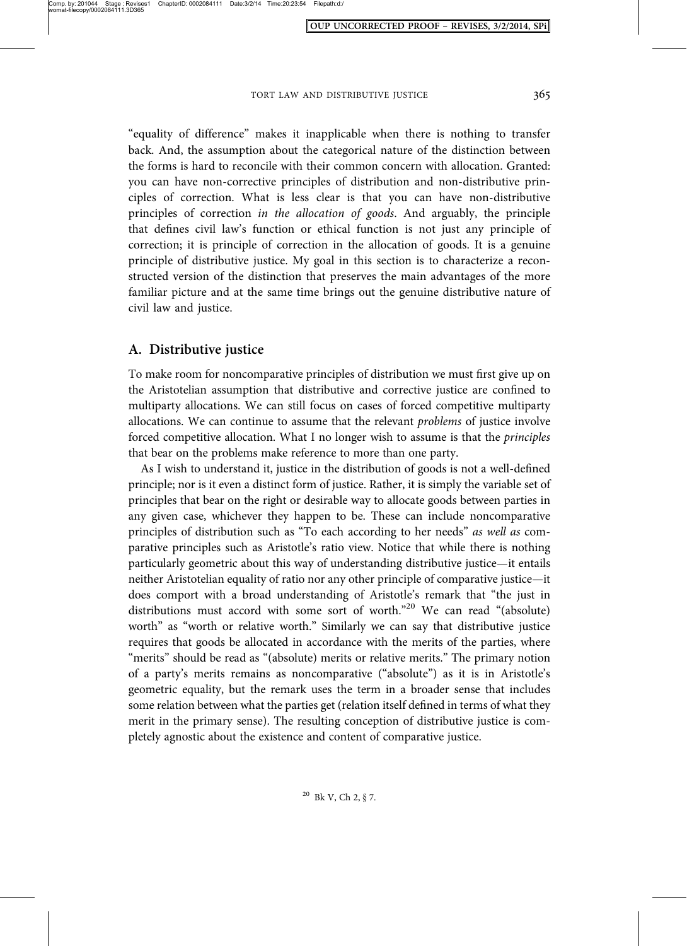TORT LAW AND DISTRIBUTIVE JUSTICE 365

"equality of difference" makes it inapplicable when there is nothing to transfer back. And, the assumption about the categorical nature of the distinction between the forms is hard to reconcile with their common concern with allocation. Granted: you can have non-corrective principles of distribution and non-distributive principles of correction. What is less clear is that you can have non-distributive principles of correction in the allocation of goods. And arguably, the principle that defines civil law's function or ethical function is not just any principle of correction; it is principle of correction in the allocation of goods. It is a genuine principle of distributive justice. My goal in this section is to characterize a reconstructed version of the distinction that preserves the main advantages of the more familiar picture and at the same time brings out the genuine distributive nature of civil law and justice.

#### A. Distributive justice

To make room for noncomparative principles of distribution we must first give up on the Aristotelian assumption that distributive and corrective justice are confined to multiparty allocations. We can still focus on cases of forced competitive multiparty allocations. We can continue to assume that the relevant problems of justice involve forced competitive allocation. What I no longer wish to assume is that the principles that bear on the problems make reference to more than one party.

As I wish to understand it, justice in the distribution of goods is not a well-defined principle; nor is it even a distinct form of justice. Rather, it is simply the variable set of principles that bear on the right or desirable way to allocate goods between parties in any given case, whichever they happen to be. These can include noncomparative principles of distribution such as "To each according to her needs" as well as comparative principles such as Aristotle's ratio view. Notice that while there is nothing particularly geometric about this way of understanding distributive justice—it entails neither Aristotelian equality of ratio nor any other principle of comparative justice—it does comport with a broad understanding of Aristotle's remark that "the just in distributions must accord with some sort of worth."<sup>20</sup> We can read "(absolute) worth" as "worth or relative worth." Similarly we can say that distributive justice requires that goods be allocated in accordance with the merits of the parties, where "merits" should be read as "(absolute) merits or relative merits." The primary notion of a party's merits remains as noncomparative ("absolute") as it is in Aristotle's geometric equality, but the remark uses the term in a broader sense that includes some relation between what the parties get (relation itself defined in terms of what they merit in the primary sense). The resulting conception of distributive justice is completely agnostic about the existence and content of comparative justice.

 $20$  Bk V, Ch 2, § 7.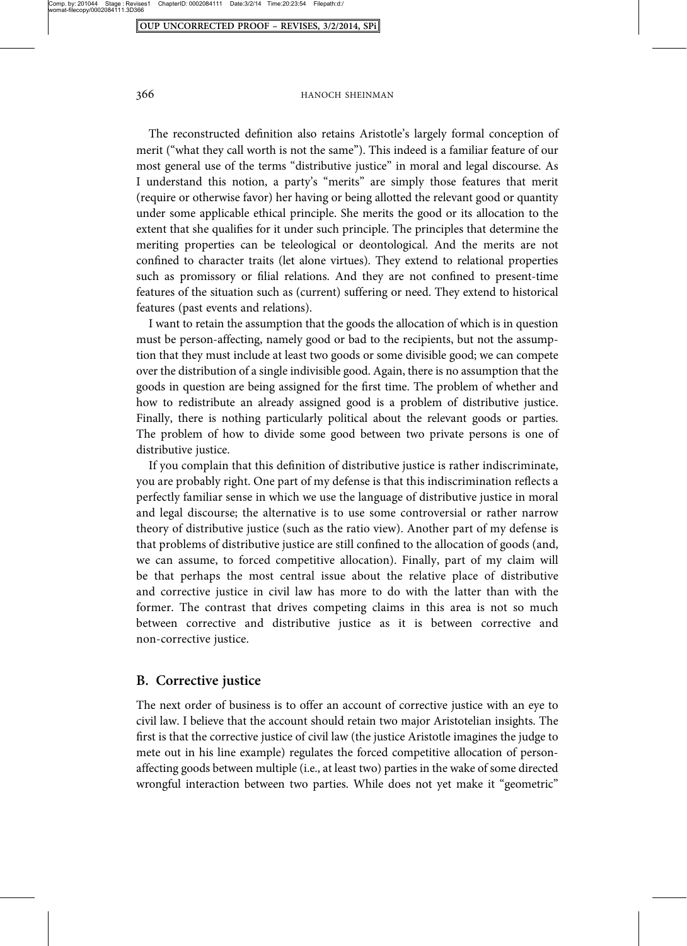#### 366 HANOCH SHEINMAN

The reconstructed definition also retains Aristotle's largely formal conception of merit ("what they call worth is not the same"). This indeed is a familiar feature of our most general use of the terms "distributive justice" in moral and legal discourse. As I understand this notion, a party's "merits" are simply those features that merit (require or otherwise favor) her having or being allotted the relevant good or quantity under some applicable ethical principle. She merits the good or its allocation to the extent that she qualifies for it under such principle. The principles that determine the meriting properties can be teleological or deontological. And the merits are not confined to character traits (let alone virtues). They extend to relational properties such as promissory or filial relations. And they are not confined to present-time features of the situation such as (current) suffering or need. They extend to historical features (past events and relations).

I want to retain the assumption that the goods the allocation of which is in question must be person-affecting, namely good or bad to the recipients, but not the assumption that they must include at least two goods or some divisible good; we can compete over the distribution of a single indivisible good. Again, there is no assumption that the goods in question are being assigned for the first time. The problem of whether and how to redistribute an already assigned good is a problem of distributive justice. Finally, there is nothing particularly political about the relevant goods or parties. The problem of how to divide some good between two private persons is one of distributive justice.

If you complain that this definition of distributive justice is rather indiscriminate, you are probably right. One part of my defense is that this indiscrimination reflects a perfectly familiar sense in which we use the language of distributive justice in moral and legal discourse; the alternative is to use some controversial or rather narrow theory of distributive justice (such as the ratio view). Another part of my defense is that problems of distributive justice are still confined to the allocation of goods (and, we can assume, to forced competitive allocation). Finally, part of my claim will be that perhaps the most central issue about the relative place of distributive and corrective justice in civil law has more to do with the latter than with the former. The contrast that drives competing claims in this area is not so much between corrective and distributive justice as it is between corrective and non-corrective justice.

#### B. Corrective justice

The next order of business is to offer an account of corrective justice with an eye to civil law. I believe that the account should retain two major Aristotelian insights. The first is that the corrective justice of civil law (the justice Aristotle imagines the judge to mete out in his line example) regulates the forced competitive allocation of personaffecting goods between multiple (i.e., at least two) parties in the wake of some directed wrongful interaction between two parties. While does not yet make it "geometric"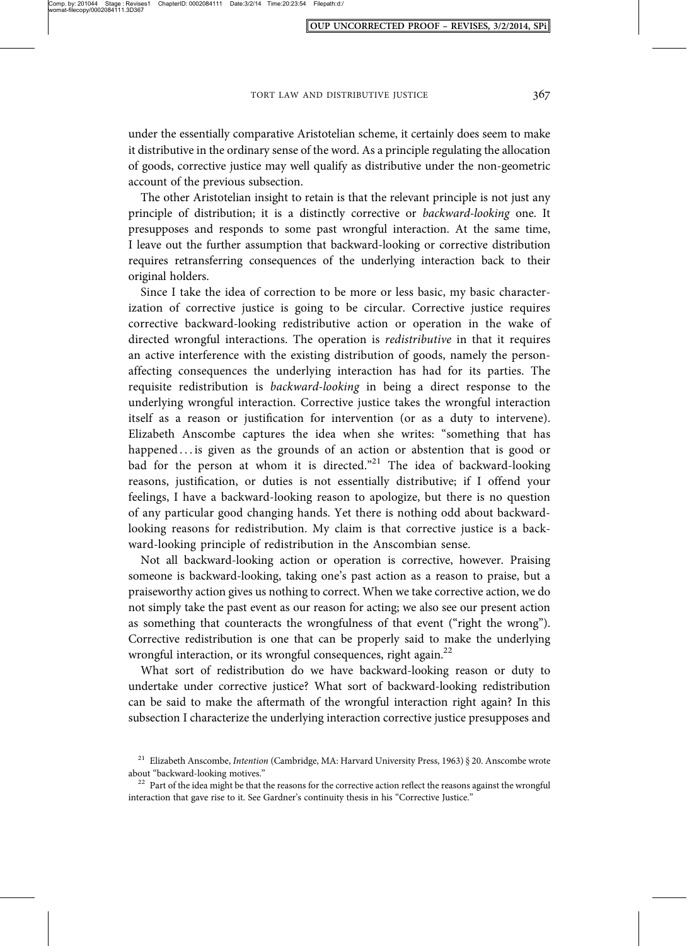#### TORT LAW AND DISTRIBUTIVE JUSTICE 367

under the essentially comparative Aristotelian scheme, it certainly does seem to make it distributive in the ordinary sense of the word. As a principle regulating the allocation of goods, corrective justice may well qualify as distributive under the non-geometric account of the previous subsection.

The other Aristotelian insight to retain is that the relevant principle is not just any principle of distribution; it is a distinctly corrective or backward-looking one. It presupposes and responds to some past wrongful interaction. At the same time, I leave out the further assumption that backward-looking or corrective distribution requires retransferring consequences of the underlying interaction back to their original holders.

Since I take the idea of correction to be more or less basic, my basic characterization of corrective justice is going to be circular. Corrective justice requires corrective backward-looking redistributive action or operation in the wake of directed wrongful interactions. The operation is redistributive in that it requires an active interference with the existing distribution of goods, namely the personaffecting consequences the underlying interaction has had for its parties. The requisite redistribution is backward-looking in being a direct response to the underlying wrongful interaction. Corrective justice takes the wrongful interaction itself as a reason or justification for intervention (or as a duty to intervene). Elizabeth Anscombe captures the idea when she writes: "something that has happened... is given as the grounds of an action or abstention that is good or bad for the person at whom it is directed."<sup>21</sup> The idea of backward-looking reasons, justification, or duties is not essentially distributive; if I offend your feelings, I have a backward-looking reason to apologize, but there is no question of any particular good changing hands. Yet there is nothing odd about backwardlooking reasons for redistribution. My claim is that corrective justice is a backward-looking principle of redistribution in the Anscombian sense.

Not all backward-looking action or operation is corrective, however. Praising someone is backward-looking, taking one's past action as a reason to praise, but a praiseworthy action gives us nothing to correct. When we take corrective action, we do not simply take the past event as our reason for acting; we also see our present action as something that counteracts the wrongfulness of that event ("right the wrong"). Corrective redistribution is one that can be properly said to make the underlying wrongful interaction, or its wrongful consequences, right again.<sup>22</sup>

What sort of redistribution do we have backward-looking reason or duty to undertake under corrective justice? What sort of backward-looking redistribution can be said to make the aftermath of the wrongful interaction right again? In this subsection I characterize the underlying interaction corrective justice presupposes and

<sup>&</sup>lt;sup>21</sup> Elizabeth Anscombe, *Intention* (Cambridge, MA: Harvard University Press, 1963) § 20. Anscombe wrote about "backward-looking motives."

<sup>&</sup>lt;sup>22</sup> Part of the idea might be that the reasons for the corrective action reflect the reasons against the wrongful interaction that gave rise to it. See Gardner's continuity thesis in his "Corrective Justice."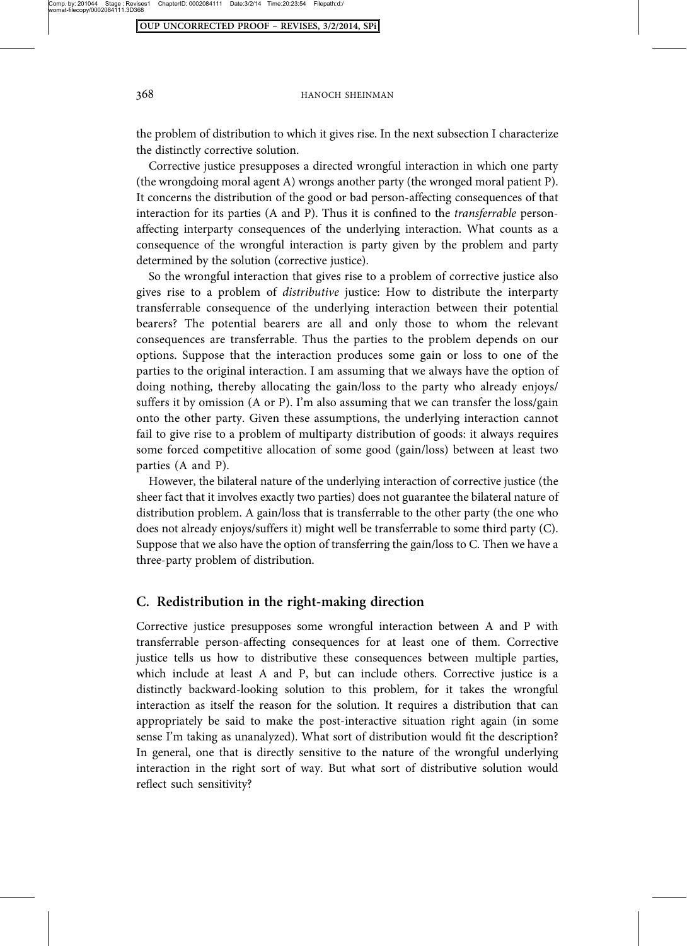368 HANOCH SHEINMAN

the problem of distribution to which it gives rise. In the next subsection I characterize the distinctly corrective solution.

Corrective justice presupposes a directed wrongful interaction in which one party (the wrongdoing moral agent A) wrongs another party (the wronged moral patient P). It concerns the distribution of the good or bad person-affecting consequences of that interaction for its parties (A and P). Thus it is confined to the transferrable personaffecting interparty consequences of the underlying interaction. What counts as a consequence of the wrongful interaction is party given by the problem and party determined by the solution (corrective justice).

So the wrongful interaction that gives rise to a problem of corrective justice also gives rise to a problem of distributive justice: How to distribute the interparty transferrable consequence of the underlying interaction between their potential bearers? The potential bearers are all and only those to whom the relevant consequences are transferrable. Thus the parties to the problem depends on our options. Suppose that the interaction produces some gain or loss to one of the parties to the original interaction. I am assuming that we always have the option of doing nothing, thereby allocating the gain/loss to the party who already enjoys/ suffers it by omission (A or P). I'm also assuming that we can transfer the loss/gain onto the other party. Given these assumptions, the underlying interaction cannot fail to give rise to a problem of multiparty distribution of goods: it always requires some forced competitive allocation of some good (gain/loss) between at least two parties (A and P).

However, the bilateral nature of the underlying interaction of corrective justice (the sheer fact that it involves exactly two parties) does not guarantee the bilateral nature of distribution problem. A gain/loss that is transferrable to the other party (the one who does not already enjoys/suffers it) might well be transferrable to some third party (C). Suppose that we also have the option of transferring the gain/loss to C. Then we have a three-party problem of distribution.

#### C. Redistribution in the right-making direction

Corrective justice presupposes some wrongful interaction between A and P with transferrable person-affecting consequences for at least one of them. Corrective justice tells us how to distributive these consequences between multiple parties, which include at least A and P, but can include others. Corrective justice is a distinctly backward-looking solution to this problem, for it takes the wrongful interaction as itself the reason for the solution. It requires a distribution that can appropriately be said to make the post-interactive situation right again (in some sense I'm taking as unanalyzed). What sort of distribution would fit the description? In general, one that is directly sensitive to the nature of the wrongful underlying interaction in the right sort of way. But what sort of distributive solution would reflect such sensitivity?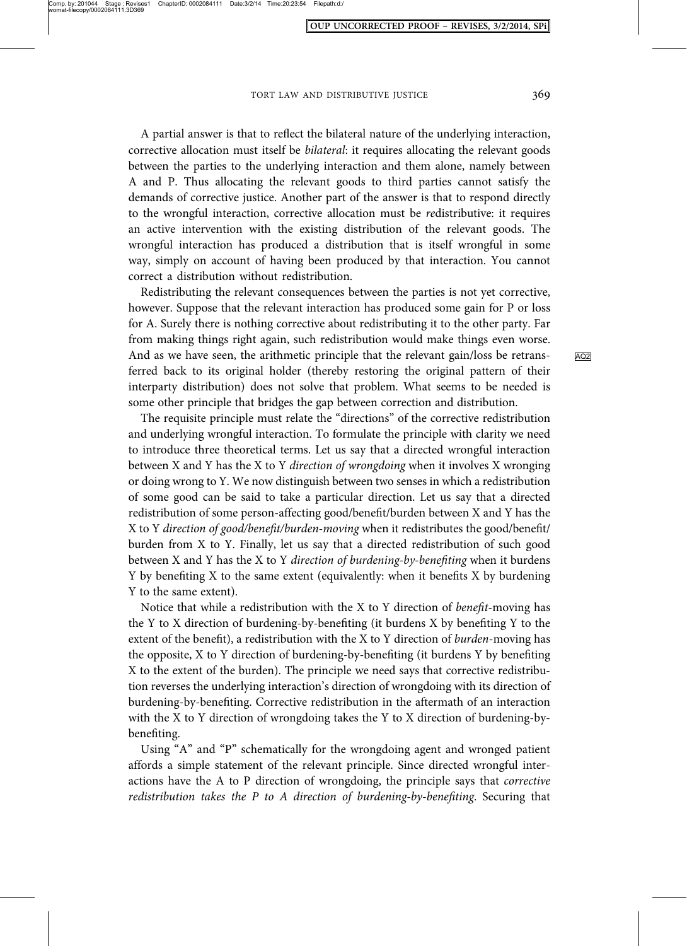#### ChapterID: 0002084111 Date:3/2/14 Time:20:23:54 Filepath:d: 00 comp. by: 201044 Stage<br>3034111.b3699/0002084111

#### OUP UNCORRECTED PROOF – REVISES, 3/2/2014, SPi

#### TORT LAW AND DISTRIBUTIVE JUSTICE 369

A partial answer is that to reflect the bilateral nature of the underlying interaction, corrective allocation must itself be bilateral: it requires allocating the relevant goods between the parties to the underlying interaction and them alone, namely between A and P. Thus allocating the relevant goods to third parties cannot satisfy the demands of corrective justice. Another part of the answer is that to respond directly to the wrongful interaction, corrective allocation must be redistributive: it requires an active intervention with the existing distribution of the relevant goods. The wrongful interaction has produced a distribution that is itself wrongful in some way, simply on account of having been produced by that interaction. You cannot correct a distribution without redistribution.

Redistributing the relevant consequences between the parties is not yet corrective, however. Suppose that the relevant interaction has produced some gain for P or loss for A. Surely there is nothing corrective about redistributing it to the other party. Far from making things right again, such redistribution would make things even worse. And as we have seen, the arithmetic principle that the relevant gain/loss be retransferred back to its original holder (thereby restoring the original pattern of their interparty distribution) does not solve that problem. What seems to be needed is some other principle that bridges the gap between correction and distribution.

The requisite principle must relate the "directions" of the corrective redistribution and underlying wrongful interaction. To formulate the principle with clarity we need to introduce three theoretical terms. Let us say that a directed wrongful interaction between X and Y has the X to Y direction of wrongdoing when it involves X wronging or doing wrong to Y. We now distinguish between two senses in which a redistribution of some good can be said to take a particular direction. Let us say that a directed redistribution of some person-affecting good/benefit/burden between X and Y has the X to Y direction of good/benefit/burden-moving when it redistributes the good/benefit/ burden from X to Y. Finally, let us say that a directed redistribution of such good between X and Y has the X to Y direction of burdening-by-benefiting when it burdens Y by benefiting X to the same extent (equivalently: when it benefits X by burdening Y to the same extent).

Notice that while a redistribution with the X to Y direction of benefit-moving has the Y to X direction of burdening-by-benefiting (it burdens X by benefiting Y to the extent of the benefit), a redistribution with the X to Y direction of burden-moving has the opposite, X to Y direction of burdening-by-benefiting (it burdens Y by benefiting X to the extent of the burden). The principle we need says that corrective redistribution reverses the underlying interaction's direction of wrongdoing with its direction of burdening-by-benefiting. Corrective redistribution in the aftermath of an interaction with the X to Y direction of wrongdoing takes the Y to X direction of burdening-bybenefiting.

Using "A" and "P" schematically for the wrongdoing agent and wronged patient affords a simple statement of the relevant principle. Since directed wrongful interactions have the A to P direction of wrongdoing, the principle says that corrective redistribution takes the P to A direction of burdening-by-benefiting. Securing that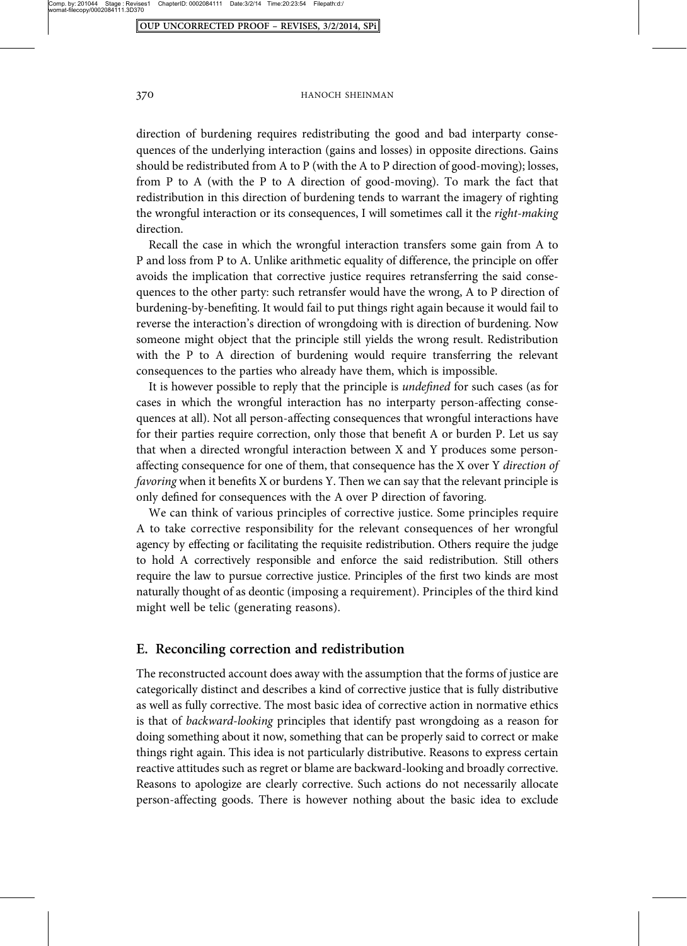#### 370 HANOCH SHEINMAN

direction of burdening requires redistributing the good and bad interparty consequences of the underlying interaction (gains and losses) in opposite directions. Gains should be redistributed from A to P (with the A to P direction of good-moving); losses, from P to A (with the P to A direction of good-moving). To mark the fact that redistribution in this direction of burdening tends to warrant the imagery of righting the wrongful interaction or its consequences, I will sometimes call it the right-making direction.

Recall the case in which the wrongful interaction transfers some gain from A to P and loss from P to A. Unlike arithmetic equality of difference, the principle on offer avoids the implication that corrective justice requires retransferring the said consequences to the other party: such retransfer would have the wrong, A to P direction of burdening-by-benefiting. It would fail to put things right again because it would fail to reverse the interaction's direction of wrongdoing with is direction of burdening. Now someone might object that the principle still yields the wrong result. Redistribution with the P to A direction of burdening would require transferring the relevant consequences to the parties who already have them, which is impossible.

It is however possible to reply that the principle is undefined for such cases (as for cases in which the wrongful interaction has no interparty person-affecting consequences at all). Not all person-affecting consequences that wrongful interactions have for their parties require correction, only those that benefit A or burden P. Let us say that when a directed wrongful interaction between X and Y produces some personaffecting consequence for one of them, that consequence has the X over Y direction of favoring when it benefits X or burdens Y. Then we can say that the relevant principle is only defined for consequences with the A over P direction of favoring.

We can think of various principles of corrective justice. Some principles require A to take corrective responsibility for the relevant consequences of her wrongful agency by effecting or facilitating the requisite redistribution. Others require the judge to hold A correctively responsible and enforce the said redistribution. Still others require the law to pursue corrective justice. Principles of the first two kinds are most naturally thought of as deontic (imposing a requirement). Principles of the third kind might well be telic (generating reasons).

#### E. Reconciling correction and redistribution

The reconstructed account does away with the assumption that the forms of justice are categorically distinct and describes a kind of corrective justice that is fully distributive as well as fully corrective. The most basic idea of corrective action in normative ethics is that of backward-looking principles that identify past wrongdoing as a reason for doing something about it now, something that can be properly said to correct or make things right again. This idea is not particularly distributive. Reasons to express certain reactive attitudes such as regret or blame are backward-looking and broadly corrective. Reasons to apologize are clearly corrective. Such actions do not necessarily allocate person-affecting goods. There is however nothing about the basic idea to exclude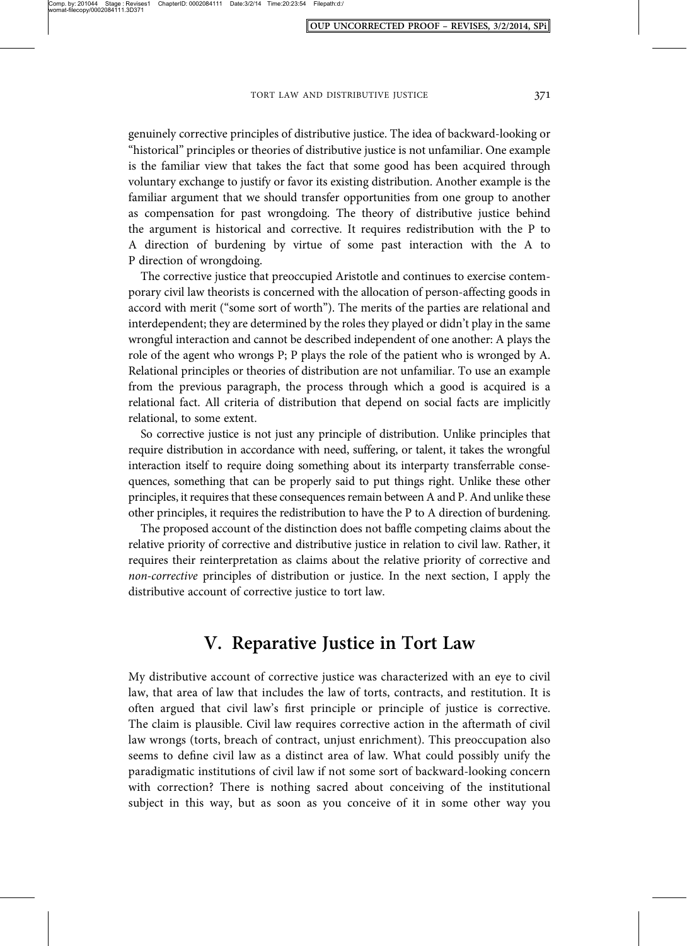ChapterID: 0002084111 Date:3/2/14 Time:20:23:54 Filepath:d: Comp. by: 201044 Stage : Revis<br>womat-filecopy/0002084111.3D37

#### OUP UNCORRECTED PROOF – REVISES, 3/2/2014, SPi

#### TORT LAW AND DISTRIBUTIVE JUSTICE 371

genuinely corrective principles of distributive justice. The idea of backward-looking or "historical" principles or theories of distributive justice is not unfamiliar. One example is the familiar view that takes the fact that some good has been acquired through voluntary exchange to justify or favor its existing distribution. Another example is the familiar argument that we should transfer opportunities from one group to another as compensation for past wrongdoing. The theory of distributive justice behind the argument is historical and corrective. It requires redistribution with the P to A direction of burdening by virtue of some past interaction with the A to P direction of wrongdoing.

The corrective justice that preoccupied Aristotle and continues to exercise contemporary civil law theorists is concerned with the allocation of person-affecting goods in accord with merit ("some sort of worth"). The merits of the parties are relational and interdependent; they are determined by the roles they played or didn't play in the same wrongful interaction and cannot be described independent of one another: A plays the role of the agent who wrongs P; P plays the role of the patient who is wronged by A. Relational principles or theories of distribution are not unfamiliar. To use an example from the previous paragraph, the process through which a good is acquired is a relational fact. All criteria of distribution that depend on social facts are implicitly relational, to some extent.

So corrective justice is not just any principle of distribution. Unlike principles that require distribution in accordance with need, suffering, or talent, it takes the wrongful interaction itself to require doing something about its interparty transferrable consequences, something that can be properly said to put things right. Unlike these other principles, it requires that these consequences remain between A and P. And unlike these other principles, it requires the redistribution to have the P to A direction of burdening.

The proposed account of the distinction does not baffle competing claims about the relative priority of corrective and distributive justice in relation to civil law. Rather, it requires their reinterpretation as claims about the relative priority of corrective and non-corrective principles of distribution or justice. In the next section, I apply the distributive account of corrective justice to tort law.

## V. Reparative Justice in Tort Law

My distributive account of corrective justice was characterized with an eye to civil law, that area of law that includes the law of torts, contracts, and restitution. It is often argued that civil law's first principle or principle of justice is corrective. The claim is plausible. Civil law requires corrective action in the aftermath of civil law wrongs (torts, breach of contract, unjust enrichment). This preoccupation also seems to define civil law as a distinct area of law. What could possibly unify the paradigmatic institutions of civil law if not some sort of backward-looking concern with correction? There is nothing sacred about conceiving of the institutional subject in this way, but as soon as you conceive of it in some other way you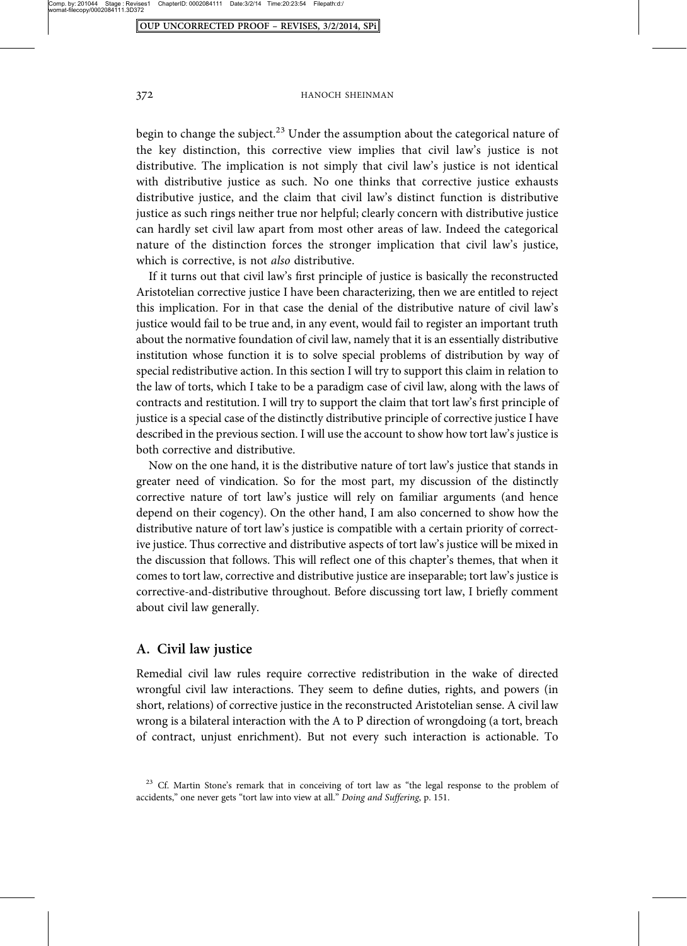#### 372 HANOCH SHEINMAN

begin to change the subject.<sup>23</sup> Under the assumption about the categorical nature of the key distinction, this corrective view implies that civil law's justice is not distributive. The implication is not simply that civil law's justice is not identical with distributive justice as such. No one thinks that corrective justice exhausts distributive justice, and the claim that civil law's distinct function is distributive justice as such rings neither true nor helpful; clearly concern with distributive justice can hardly set civil law apart from most other areas of law. Indeed the categorical nature of the distinction forces the stronger implication that civil law's justice, which is corrective, is not also distributive.

If it turns out that civil law's first principle of justice is basically the reconstructed Aristotelian corrective justice I have been characterizing, then we are entitled to reject this implication. For in that case the denial of the distributive nature of civil law's justice would fail to be true and, in any event, would fail to register an important truth about the normative foundation of civil law, namely that it is an essentially distributive institution whose function it is to solve special problems of distribution by way of special redistributive action. In this section I will try to support this claim in relation to the law of torts, which I take to be a paradigm case of civil law, along with the laws of contracts and restitution. I will try to support the claim that tort law's first principle of justice is a special case of the distinctly distributive principle of corrective justice I have described in the previous section. I will use the account to show how tort law's justice is both corrective and distributive.

Now on the one hand, it is the distributive nature of tort law's justice that stands in greater need of vindication. So for the most part, my discussion of the distinctly corrective nature of tort law's justice will rely on familiar arguments (and hence depend on their cogency). On the other hand, I am also concerned to show how the distributive nature of tort law's justice is compatible with a certain priority of corrective justice. Thus corrective and distributive aspects of tort law's justice will be mixed in the discussion that follows. This will reflect one of this chapter's themes, that when it comes to tort law, corrective and distributive justice are inseparable; tort law's justice is corrective-and-distributive throughout. Before discussing tort law, I briefly comment about civil law generally.

#### A. Civil law justice

Remedial civil law rules require corrective redistribution in the wake of directed wrongful civil law interactions. They seem to define duties, rights, and powers (in short, relations) of corrective justice in the reconstructed Aristotelian sense. A civil law wrong is a bilateral interaction with the A to P direction of wrongdoing (a tort, breach of contract, unjust enrichment). But not every such interaction is actionable. To

<sup>&</sup>lt;sup>23</sup> Cf. Martin Stone's remark that in conceiving of tort law as "the legal response to the problem of accidents," one never gets "tort law into view at all." Doing and Suffering, p. 151.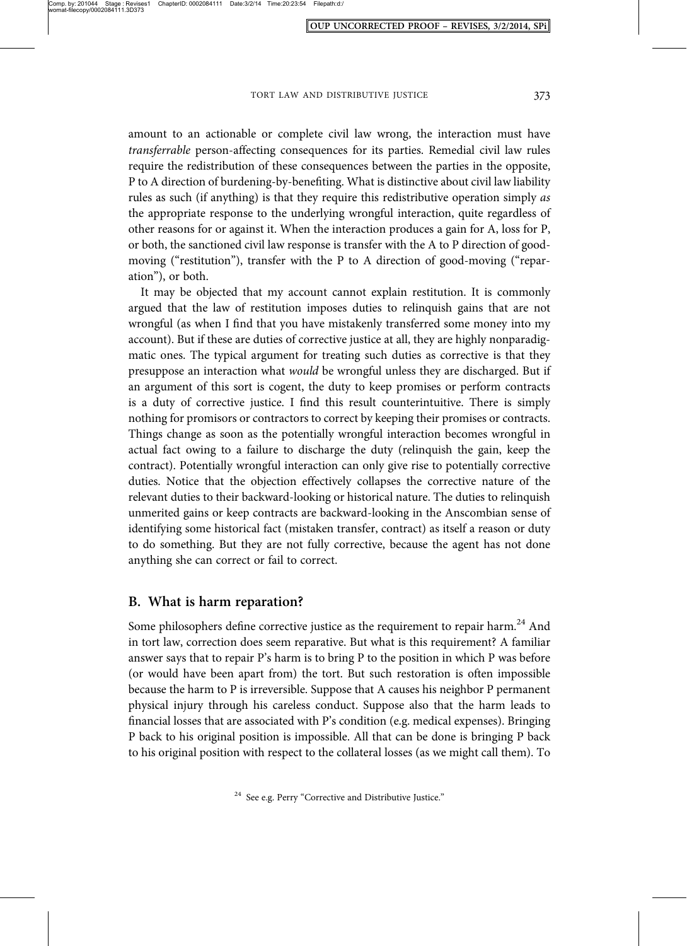ChapterID: 0002084111 Date:3/2/14 Time:20:23:54 Filepath:d: Comp. by: 201044 Stage : Revise<br>womat-filecopy/0002084111.3D373

#### OUP UNCORRECTED PROOF – REVISES, 3/2/2014, SPi

#### TORT LAW AND DISTRIBUTIVE JUSTICE 373

amount to an actionable or complete civil law wrong, the interaction must have transferrable person-affecting consequences for its parties. Remedial civil law rules require the redistribution of these consequences between the parties in the opposite, P to A direction of burdening-by-benefiting. What is distinctive about civil law liability rules as such (if anything) is that they require this redistributive operation simply as the appropriate response to the underlying wrongful interaction, quite regardless of other reasons for or against it. When the interaction produces a gain for A, loss for P, or both, the sanctioned civil law response is transfer with the A to P direction of goodmoving ("restitution"), transfer with the P to A direction of good-moving ("reparation"), or both.

It may be objected that my account cannot explain restitution. It is commonly argued that the law of restitution imposes duties to relinquish gains that are not wrongful (as when I find that you have mistakenly transferred some money into my account). But if these are duties of corrective justice at all, they are highly nonparadigmatic ones. The typical argument for treating such duties as corrective is that they presuppose an interaction what would be wrongful unless they are discharged. But if an argument of this sort is cogent, the duty to keep promises or perform contracts is a duty of corrective justice. I find this result counterintuitive. There is simply nothing for promisors or contractors to correct by keeping their promises or contracts. Things change as soon as the potentially wrongful interaction becomes wrongful in actual fact owing to a failure to discharge the duty (relinquish the gain, keep the contract). Potentially wrongful interaction can only give rise to potentially corrective duties. Notice that the objection effectively collapses the corrective nature of the relevant duties to their backward-looking or historical nature. The duties to relinquish unmerited gains or keep contracts are backward-looking in the Anscombian sense of identifying some historical fact (mistaken transfer, contract) as itself a reason or duty to do something. But they are not fully corrective, because the agent has not done anything she can correct or fail to correct.

#### B. What is harm reparation?

Some philosophers define corrective justice as the requirement to repair harm.<sup>24</sup> And in tort law, correction does seem reparative. But what is this requirement? A familiar answer says that to repair P's harm is to bring P to the position in which P was before (or would have been apart from) the tort. But such restoration is often impossible because the harm to P is irreversible. Suppose that A causes his neighbor P permanent physical injury through his careless conduct. Suppose also that the harm leads to financial losses that are associated with P's condition (e.g. medical expenses). Bringing P back to his original position is impossible. All that can be done is bringing P back to his original position with respect to the collateral losses (as we might call them). To

<sup>24</sup> See e.g. Perry "Corrective and Distributive Justice."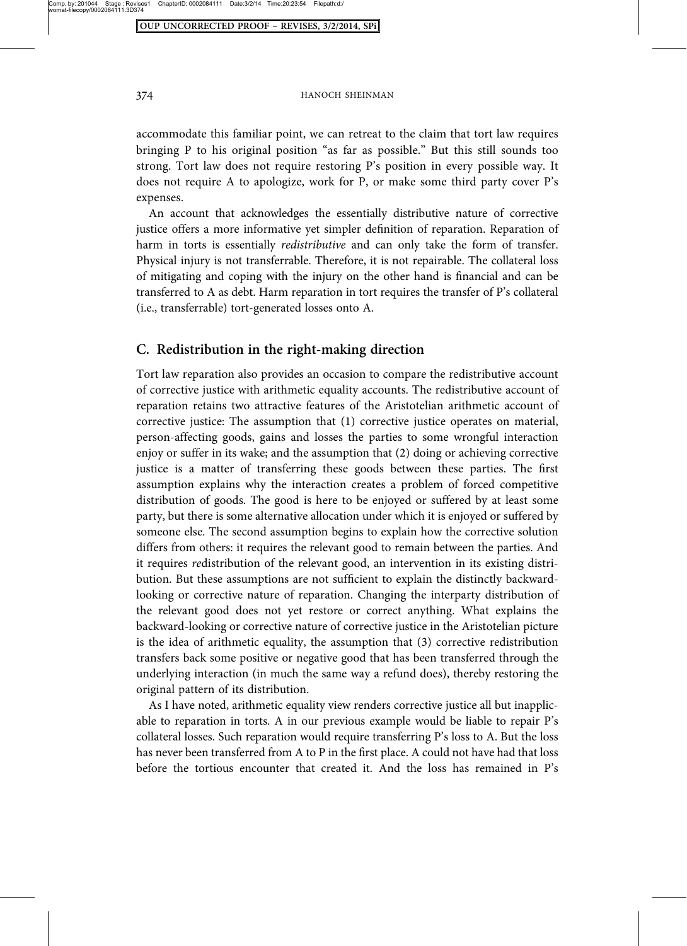374 **HANOCH SHEINMAN** 

accommodate this familiar point, we can retreat to the claim that tort law requires bringing P to his original position "as far as possible." But this still sounds too strong. Tort law does not require restoring P's position in every possible way. It does not require A to apologize, work for P, or make some third party cover P's expenses.

An account that acknowledges the essentially distributive nature of corrective justice offers a more informative yet simpler definition of reparation. Reparation of harm in torts is essentially *redistributive* and can only take the form of transfer. Physical injury is not transferrable. Therefore, it is not repairable. The collateral loss of mitigating and coping with the injury on the other hand is financial and can be transferred to A as debt. Harm reparation in tort requires the transfer of P's collateral (i.e., transferrable) tort-generated losses onto A.

#### C. Redistribution in the right-making direction

Tort law reparation also provides an occasion to compare the redistributive account of corrective justice with arithmetic equality accounts. The redistributive account of reparation retains two attractive features of the Aristotelian arithmetic account of corrective justice: The assumption that (1) corrective justice operates on material, person-affecting goods, gains and losses the parties to some wrongful interaction enjoy or suffer in its wake; and the assumption that (2) doing or achieving corrective justice is a matter of transferring these goods between these parties. The first assumption explains why the interaction creates a problem of forced competitive distribution of goods. The good is here to be enjoyed or suffered by at least some party, but there is some alternative allocation under which it is enjoyed or suffered by someone else. The second assumption begins to explain how the corrective solution differs from others: it requires the relevant good to remain between the parties. And it requires redistribution of the relevant good, an intervention in its existing distribution. But these assumptions are not sufficient to explain the distinctly backwardlooking or corrective nature of reparation. Changing the interparty distribution of the relevant good does not yet restore or correct anything. What explains the backward-looking or corrective nature of corrective justice in the Aristotelian picture is the idea of arithmetic equality, the assumption that (3) corrective redistribution transfers back some positive or negative good that has been transferred through the underlying interaction (in much the same way a refund does), thereby restoring the original pattern of its distribution.

As I have noted, arithmetic equality view renders corrective justice all but inapplicable to reparation in torts. A in our previous example would be liable to repair P's collateral losses. Such reparation would require transferring P's loss to A. But the loss has never been transferred from A to P in the first place. A could not have had that loss before the tortious encounter that created it. And the loss has remained in P's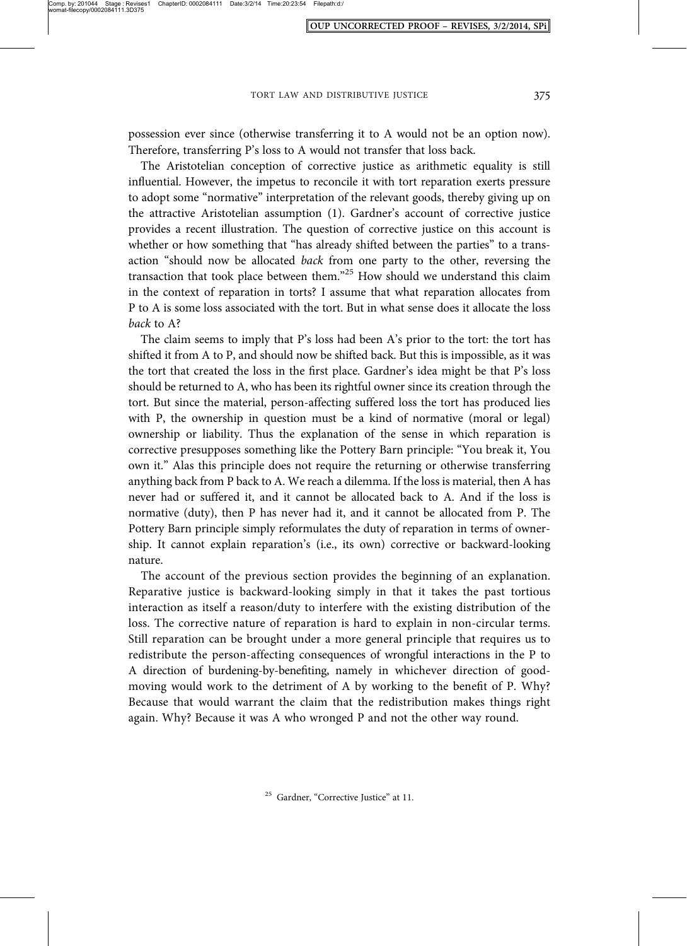#### TORT LAW AND DISTRIBUTIVE JUSTICE 375

possession ever since (otherwise transferring it to A would not be an option now). Therefore, transferring P's loss to A would not transfer that loss back.

The Aristotelian conception of corrective justice as arithmetic equality is still influential. However, the impetus to reconcile it with tort reparation exerts pressure to adopt some "normative" interpretation of the relevant goods, thereby giving up on the attractive Aristotelian assumption (1). Gardner's account of corrective justice provides a recent illustration. The question of corrective justice on this account is whether or how something that "has already shifted between the parties" to a transaction "should now be allocated back from one party to the other, reversing the transaction that took place between them."<sup>25</sup> How should we understand this claim in the context of reparation in torts? I assume that what reparation allocates from P to A is some loss associated with the tort. But in what sense does it allocate the loss back to A?

The claim seems to imply that P's loss had been A's prior to the tort: the tort has shifted it from A to P, and should now be shifted back. But this is impossible, as it was the tort that created the loss in the first place. Gardner's idea might be that P's loss should be returned to A, who has been its rightful owner since its creation through the tort. But since the material, person-affecting suffered loss the tort has produced lies with P, the ownership in question must be a kind of normative (moral or legal) ownership or liability. Thus the explanation of the sense in which reparation is corrective presupposes something like the Pottery Barn principle: "You break it, You own it." Alas this principle does not require the returning or otherwise transferring anything back from P back to A. We reach a dilemma. If the loss is material, then A has never had or suffered it, and it cannot be allocated back to A. And if the loss is normative (duty), then P has never had it, and it cannot be allocated from P. The Pottery Barn principle simply reformulates the duty of reparation in terms of ownership. It cannot explain reparation's (i.e., its own) corrective or backward-looking nature.

The account of the previous section provides the beginning of an explanation. Reparative justice is backward-looking simply in that it takes the past tortious interaction as itself a reason/duty to interfere with the existing distribution of the loss. The corrective nature of reparation is hard to explain in non-circular terms. Still reparation can be brought under a more general principle that requires us to redistribute the person-affecting consequences of wrongful interactions in the P to A direction of burdening-by-benefiting, namely in whichever direction of goodmoving would work to the detriment of A by working to the benefit of P. Why? Because that would warrant the claim that the redistribution makes things right again. Why? Because it was A who wronged P and not the other way round.

<sup>25</sup> Gardner, "Corrective Justice" at 11.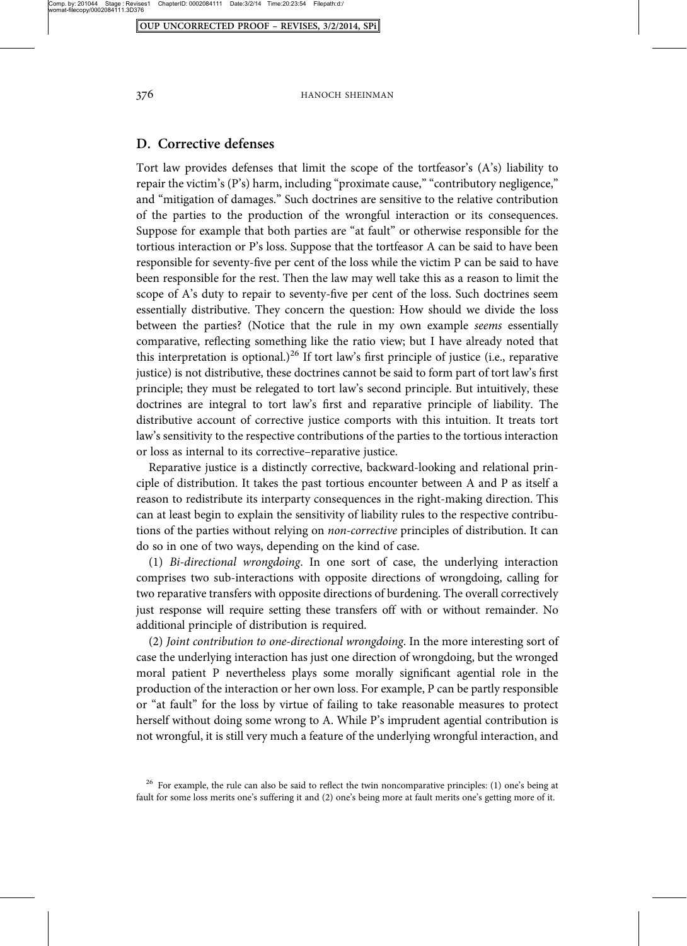376 HANOCH SHEINMAN

#### D. Corrective defenses

Tort law provides defenses that limit the scope of the tortfeasor's (A's) liability to repair the victim's (P's) harm, including "proximate cause," "contributory negligence," and "mitigation of damages." Such doctrines are sensitive to the relative contribution of the parties to the production of the wrongful interaction or its consequences. Suppose for example that both parties are "at fault" or otherwise responsible for the tortious interaction or P's loss. Suppose that the tortfeasor A can be said to have been responsible for seventy-five per cent of the loss while the victim P can be said to have been responsible for the rest. Then the law may well take this as a reason to limit the scope of A's duty to repair to seventy-five per cent of the loss. Such doctrines seem essentially distributive. They concern the question: How should we divide the loss between the parties? (Notice that the rule in my own example seems essentially comparative, reflecting something like the ratio view; but I have already noted that this interpretation is optional.)<sup>26</sup> If tort law's first principle of justice (i.e., reparative justice) is not distributive, these doctrines cannot be said to form part of tort law's first principle; they must be relegated to tort law's second principle. But intuitively, these doctrines are integral to tort law's first and reparative principle of liability. The distributive account of corrective justice comports with this intuition. It treats tort law's sensitivity to the respective contributions of the parties to the tortious interaction or loss as internal to its corrective–reparative justice.

Reparative justice is a distinctly corrective, backward-looking and relational principle of distribution. It takes the past tortious encounter between A and P as itself a reason to redistribute its interparty consequences in the right-making direction. This can at least begin to explain the sensitivity of liability rules to the respective contributions of the parties without relying on non-corrective principles of distribution. It can do so in one of two ways, depending on the kind of case.

(1) Bi-directional wrongdoing. In one sort of case, the underlying interaction comprises two sub-interactions with opposite directions of wrongdoing, calling for two reparative transfers with opposite directions of burdening. The overall correctively just response will require setting these transfers off with or without remainder. No additional principle of distribution is required.

(2) Joint contribution to one-directional wrongdoing. In the more interesting sort of case the underlying interaction has just one direction of wrongdoing, but the wronged moral patient P nevertheless plays some morally significant agential role in the production of the interaction or her own loss. For example, P can be partly responsible or "at fault" for the loss by virtue of failing to take reasonable measures to protect herself without doing some wrong to A. While P's imprudent agential contribution is not wrongful, it is still very much a feature of the underlying wrongful interaction, and

 $26$  For example, the rule can also be said to reflect the twin noncomparative principles: (1) one's being at fault for some loss merits one's suffering it and (2) one's being more at fault merits one's getting more of it.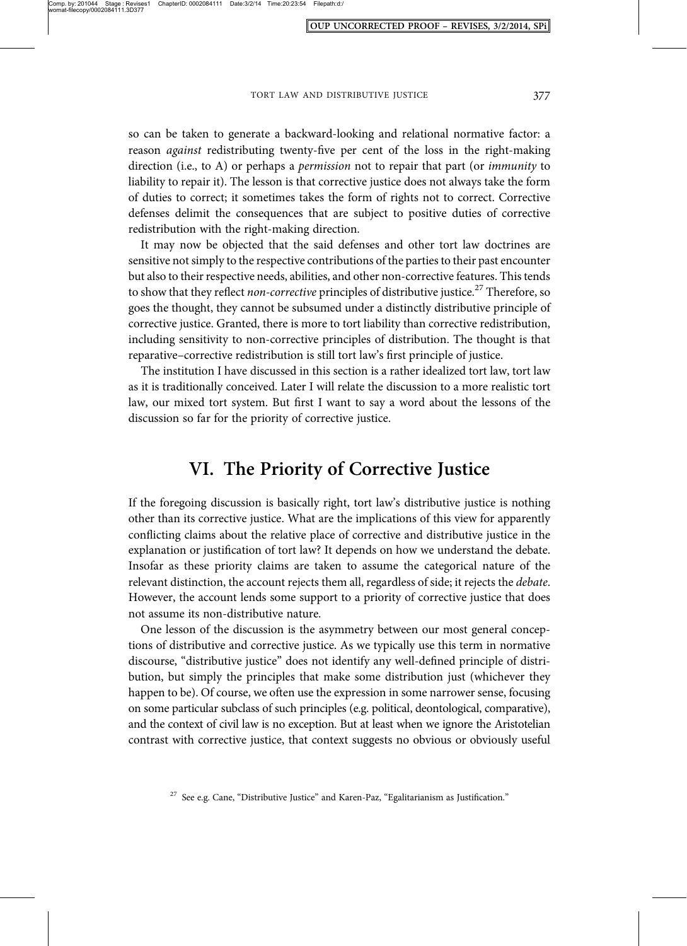ChapterID: 0002084111 Date:3/2/14 Time:20:23:54 Filepath:d: Comp. by: 201044 Stage : Revis<br>womat-filecopy/0002084111.3D37

#### OUP UNCORRECTED PROOF – REVISES, 3/2/2014, SPi

#### TORT LAW AND DISTRIBUTIVE JUSTICE 377

so can be taken to generate a backward-looking and relational normative factor: a reason against redistributing twenty-five per cent of the loss in the right-making direction (i.e., to A) or perhaps a *permission* not to repair that part (or *immunity* to liability to repair it). The lesson is that corrective justice does not always take the form of duties to correct; it sometimes takes the form of rights not to correct. Corrective defenses delimit the consequences that are subject to positive duties of corrective redistribution with the right-making direction.

It may now be objected that the said defenses and other tort law doctrines are sensitive not simply to the respective contributions of the parties to their past encounter but also to their respective needs, abilities, and other non-corrective features. This tends to show that they reflect non-corrective principles of distributive justice.<sup>27</sup> Therefore, so goes the thought, they cannot be subsumed under a distinctly distributive principle of corrective justice. Granted, there is more to tort liability than corrective redistribution, including sensitivity to non-corrective principles of distribution. The thought is that reparative–corrective redistribution is still tort law's first principle of justice.

The institution I have discussed in this section is a rather idealized tort law, tort law as it is traditionally conceived. Later I will relate the discussion to a more realistic tort law, our mixed tort system. But first I want to say a word about the lessons of the discussion so far for the priority of corrective justice.

## VI. The Priority of Corrective Justice

If the foregoing discussion is basically right, tort law's distributive justice is nothing other than its corrective justice. What are the implications of this view for apparently conflicting claims about the relative place of corrective and distributive justice in the explanation or justification of tort law? It depends on how we understand the debate. Insofar as these priority claims are taken to assume the categorical nature of the relevant distinction, the account rejects them all, regardless of side; it rejects the debate. However, the account lends some support to a priority of corrective justice that does not assume its non-distributive nature.

One lesson of the discussion is the asymmetry between our most general conceptions of distributive and corrective justice. As we typically use this term in normative discourse, "distributive justice" does not identify any well-defined principle of distribution, but simply the principles that make some distribution just (whichever they happen to be). Of course, we often use the expression in some narrower sense, focusing on some particular subclass of such principles (e.g. political, deontological, comparative), and the context of civil law is no exception. But at least when we ignore the Aristotelian contrast with corrective justice, that context suggests no obvious or obviously useful

 $27$  See e.g. Cane, "Distributive Justice" and Karen-Paz, "Egalitarianism as Justification."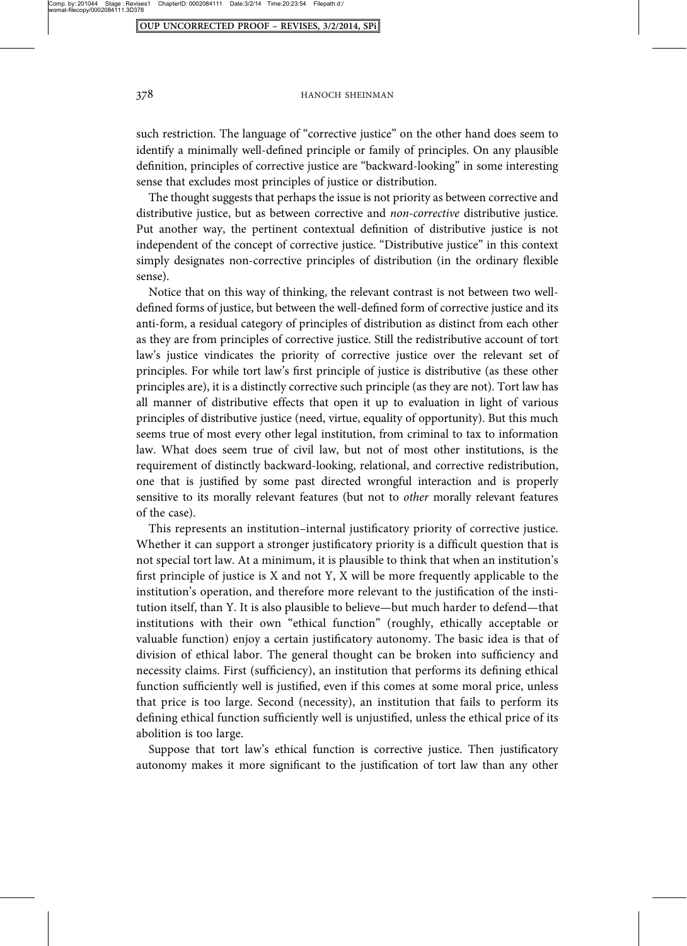378 HANOCH SHEINMAN

such restriction. The language of "corrective justice" on the other hand does seem to identify a minimally well-defined principle or family of principles. On any plausible definition, principles of corrective justice are "backward-looking" in some interesting sense that excludes most principles of justice or distribution.

The thought suggests that perhaps the issue is not priority as between corrective and distributive justice, but as between corrective and non-corrective distributive justice. Put another way, the pertinent contextual definition of distributive justice is not independent of the concept of corrective justice. "Distributive justice" in this context simply designates non-corrective principles of distribution (in the ordinary flexible sense).

Notice that on this way of thinking, the relevant contrast is not between two welldefined forms of justice, but between the well-defined form of corrective justice and its anti-form, a residual category of principles of distribution as distinct from each other as they are from principles of corrective justice. Still the redistributive account of tort law's justice vindicates the priority of corrective justice over the relevant set of principles. For while tort law's first principle of justice is distributive (as these other principles are), it is a distinctly corrective such principle (as they are not). Tort law has all manner of distributive effects that open it up to evaluation in light of various principles of distributive justice (need, virtue, equality of opportunity). But this much seems true of most every other legal institution, from criminal to tax to information law. What does seem true of civil law, but not of most other institutions, is the requirement of distinctly backward-looking, relational, and corrective redistribution, one that is justified by some past directed wrongful interaction and is properly sensitive to its morally relevant features (but not to other morally relevant features of the case).

This represents an institution–internal justificatory priority of corrective justice. Whether it can support a stronger justificatory priority is a difficult question that is not special tort law. At a minimum, it is plausible to think that when an institution's first principle of justice is X and not Y, X will be more frequently applicable to the institution's operation, and therefore more relevant to the justification of the institution itself, than Y. It is also plausible to believe—but much harder to defend—that institutions with their own "ethical function" (roughly, ethically acceptable or valuable function) enjoy a certain justificatory autonomy. The basic idea is that of division of ethical labor. The general thought can be broken into sufficiency and necessity claims. First (sufficiency), an institution that performs its defining ethical function sufficiently well is justified, even if this comes at some moral price, unless that price is too large. Second (necessity), an institution that fails to perform its defining ethical function sufficiently well is unjustified, unless the ethical price of its abolition is too large.

Suppose that tort law's ethical function is corrective justice. Then justificatory autonomy makes it more significant to the justification of tort law than any other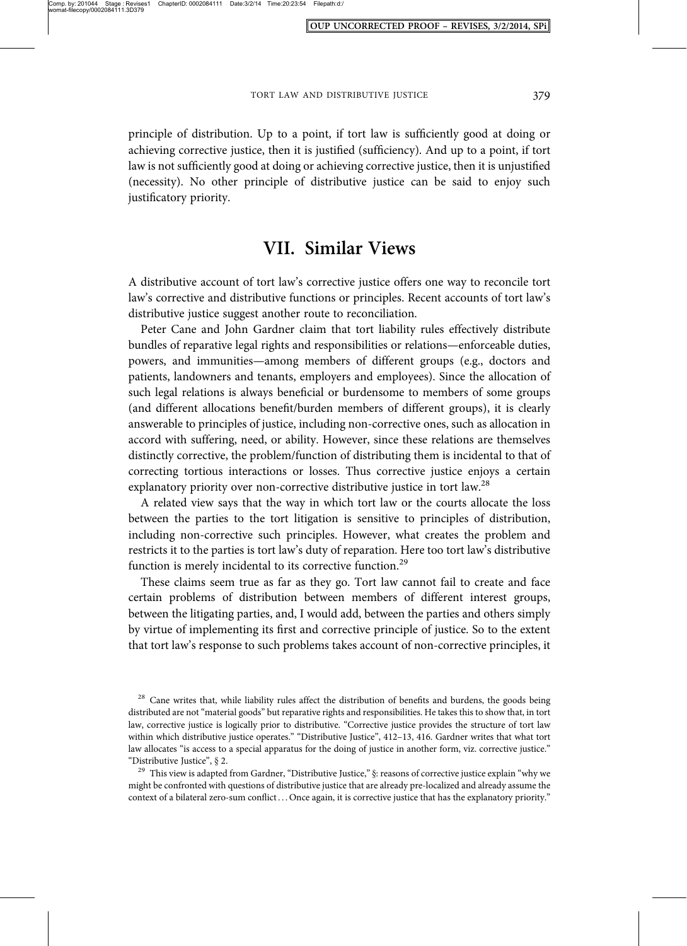TORT LAW AND DISTRIBUTIVE JUSTICE 379

principle of distribution. Up to a point, if tort law is sufficiently good at doing or achieving corrective justice, then it is justified (sufficiency). And up to a point, if tort law is not sufficiently good at doing or achieving corrective justice, then it is unjustified (necessity). No other principle of distributive justice can be said to enjoy such justificatory priority.

## VII. Similar Views

A distributive account of tort law's corrective justice offers one way to reconcile tort law's corrective and distributive functions or principles. Recent accounts of tort law's distributive justice suggest another route to reconciliation.

Peter Cane and John Gardner claim that tort liability rules effectively distribute bundles of reparative legal rights and responsibilities or relations—enforceable duties, powers, and immunities—among members of different groups (e.g., doctors and patients, landowners and tenants, employers and employees). Since the allocation of such legal relations is always beneficial or burdensome to members of some groups (and different allocations benefit/burden members of different groups), it is clearly answerable to principles of justice, including non-corrective ones, such as allocation in accord with suffering, need, or ability. However, since these relations are themselves distinctly corrective, the problem/function of distributing them is incidental to that of correcting tortious interactions or losses. Thus corrective justice enjoys a certain explanatory priority over non-corrective distributive justice in tort law.<sup>28</sup>

A related view says that the way in which tort law or the courts allocate the loss between the parties to the tort litigation is sensitive to principles of distribution, including non-corrective such principles. However, what creates the problem and restricts it to the parties is tort law's duty of reparation. Here too tort law's distributive function is merely incidental to its corrective function.<sup>29</sup>

These claims seem true as far as they go. Tort law cannot fail to create and face certain problems of distribution between members of different interest groups, between the litigating parties, and, I would add, between the parties and others simply by virtue of implementing its first and corrective principle of justice. So to the extent that tort law's response to such problems takes account of non-corrective principles, it

<sup>&</sup>lt;sup>28</sup> Cane writes that, while liability rules affect the distribution of benefits and burdens, the goods being distributed are not "material goods" but reparative rights and responsibilities. He takes this to show that, in tort law, corrective justice is logically prior to distributive. "Corrective justice provides the structure of tort law within which distributive justice operates." "Distributive Justice", 412–13, 416. Gardner writes that what tort law allocates "is access to a special apparatus for the doing of justice in another form, viz. corrective justice."

 $29$  This view is adapted from Gardner, "Distributive Justice," §: reasons of corrective justice explain "why we might be confronted with questions of distributive justice that are already pre-localized and already assume the context of a bilateral zero-sum conflict ... Once again, it is corrective justice that has the explanatory priority."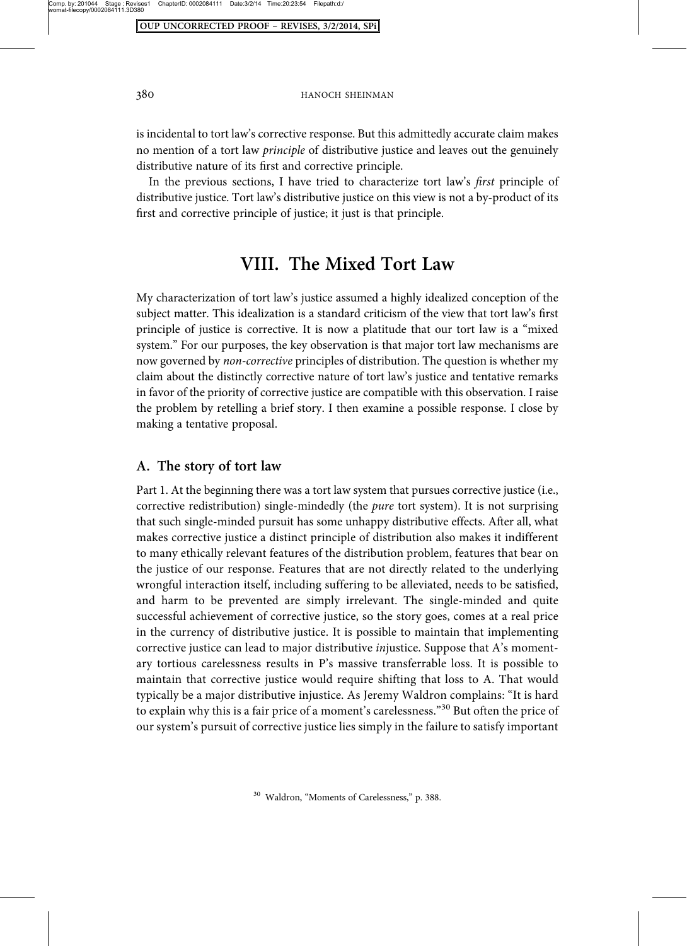380 HANOCH SHEINMAN

is incidental to tort law's corrective response. But this admittedly accurate claim makes no mention of a tort law principle of distributive justice and leaves out the genuinely distributive nature of its first and corrective principle.

In the previous sections, I have tried to characterize tort law's first principle of distributive justice. Tort law's distributive justice on this view is not a by-product of its first and corrective principle of justice; it just is that principle.

## VIII. The Mixed Tort Law

My characterization of tort law's justice assumed a highly idealized conception of the subject matter. This idealization is a standard criticism of the view that tort law's first principle of justice is corrective. It is now a platitude that our tort law is a "mixed system." For our purposes, the key observation is that major tort law mechanisms are now governed by non-corrective principles of distribution. The question is whether my claim about the distinctly corrective nature of tort law's justice and tentative remarks in favor of the priority of corrective justice are compatible with this observation. I raise the problem by retelling a brief story. I then examine a possible response. I close by making a tentative proposal.

#### A. The story of tort law

Part 1. At the beginning there was a tort law system that pursues corrective justice (i.e., corrective redistribution) single-mindedly (the pure tort system). It is not surprising that such single-minded pursuit has some unhappy distributive effects. After all, what makes corrective justice a distinct principle of distribution also makes it indifferent to many ethically relevant features of the distribution problem, features that bear on the justice of our response. Features that are not directly related to the underlying wrongful interaction itself, including suffering to be alleviated, needs to be satisfied, and harm to be prevented are simply irrelevant. The single-minded and quite successful achievement of corrective justice, so the story goes, comes at a real price in the currency of distributive justice. It is possible to maintain that implementing corrective justice can lead to major distributive injustice. Suppose that A's momentary tortious carelessness results in P's massive transferrable loss. It is possible to maintain that corrective justice would require shifting that loss to A. That would typically be a major distributive injustice. As Jeremy Waldron complains: "It is hard to explain why this is a fair price of a moment's carelessness." $^{\rm 30}$  But often the price of our system's pursuit of corrective justice lies simply in the failure to satisfy important

<sup>30</sup> Waldron, "Moments of Carelessness," p. 388.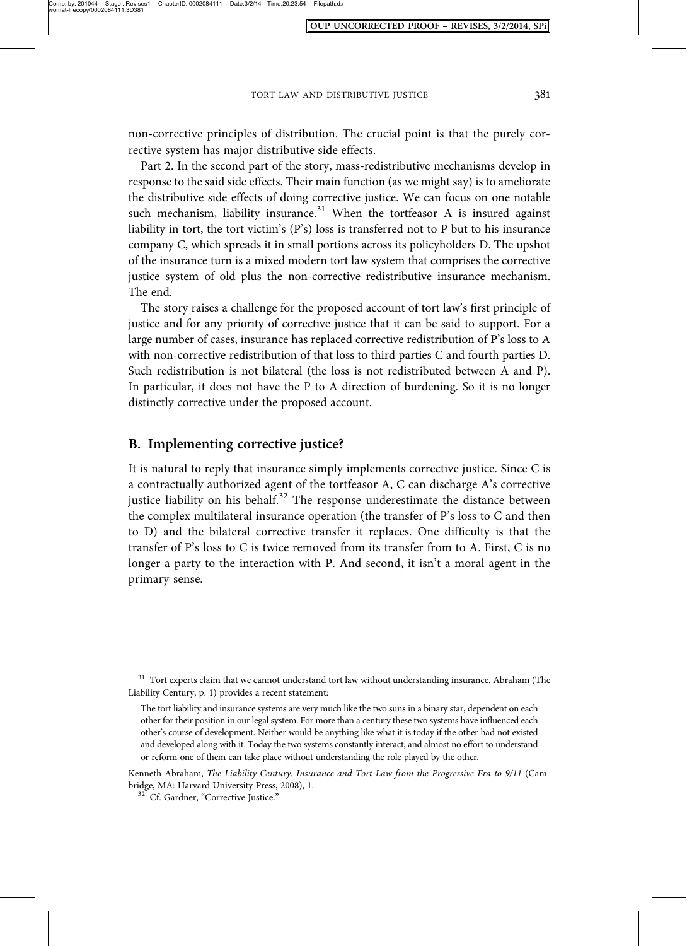TORT LAW AND DISTRIBUTIVE JUSTICE 381

non-corrective principles of distribution. The crucial point is that the purely corrective system has major distributive side effects.

Part 2. In the second part of the story, mass-redistributive mechanisms develop in response to the said side effects. Their main function (as we might say) is to ameliorate the distributive side effects of doing corrective justice. We can focus on one notable such mechanism, liability insurance. $31$  When the tortfeasor A is insured against liability in tort, the tort victim's (P's) loss is transferred not to P but to his insurance company C, which spreads it in small portions across its policyholders D. The upshot of the insurance turn is a mixed modern tort law system that comprises the corrective justice system of old plus the non-corrective redistributive insurance mechanism. The end.

The story raises a challenge for the proposed account of tort law's first principle of justice and for any priority of corrective justice that it can be said to support. For a large number of cases, insurance has replaced corrective redistribution of P's loss to A with non-corrective redistribution of that loss to third parties C and fourth parties D. Such redistribution is not bilateral (the loss is not redistributed between A and P). In particular, it does not have the P to A direction of burdening. So it is no longer distinctly corrective under the proposed account.

#### B. Implementing corrective justice?

It is natural to reply that insurance simply implements corrective justice. Since C is a contractually authorized agent of the tortfeasor A, C can discharge A's corrective justice liability on his behalf. $32$  The response underestimate the distance between the complex multilateral insurance operation (the transfer of P's loss to C and then to D) and the bilateral corrective transfer it replaces. One difficulty is that the transfer of P's loss to C is twice removed from its transfer from to A. First, C is no longer a party to the interaction with P. And second, it isn't a moral agent in the primary sense.

Kenneth Abraham, The Liability Century: Insurance and Tort Law from the Progressive Era to 9/11 (Cambridge, MA: Harvard University Press, 2008), 1.<br><sup>32</sup> Cf. Gardner, "Corrective Justice."

 $^{\rm 31}$  Tort experts claim that we cannot understand tort law without understanding insurance. Abraham (The Liability Century, p. 1) provides a recent statement:

The tort liability and insurance systems are very much like the two suns in a binary star, dependent on each other for their position in our legal system. For more than a century these two systems have influenced each other's course of development. Neither would be anything like what it is today if the other had not existed and developed along with it. Today the two systems constantly interact, and almost no effort to understand or reform one of them can take place without understanding the role played by the other.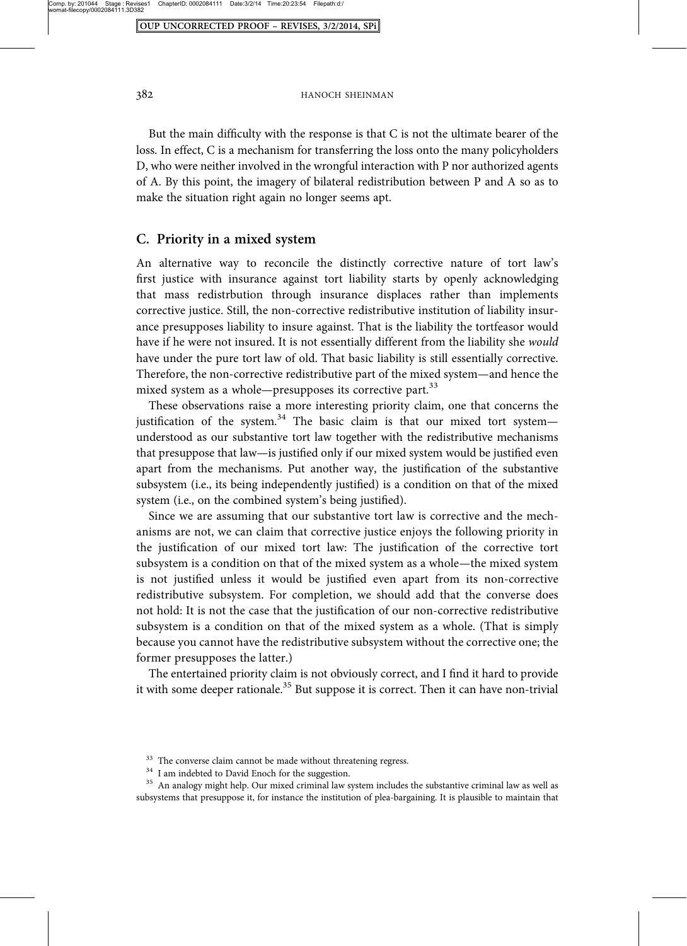382 HANOCH SHEINMAN

But the main difficulty with the response is that C is not the ultimate bearer of the loss. In effect, C is a mechanism for transferring the loss onto the many policyholders D, who were neither involved in the wrongful interaction with P nor authorized agents of A. By this point, the imagery of bilateral redistribution between P and A so as to make the situation right again no longer seems apt.

#### C. Priority in a mixed system

An alternative way to reconcile the distinctly corrective nature of tort law's first justice with insurance against tort liability starts by openly acknowledging that mass redistrbution through insurance displaces rather than implements corrective justice. Still, the non-corrective redistributive institution of liability insurance presupposes liability to insure against. That is the liability the tortfeasor would have if he were not insured. It is not essentially different from the liability she would have under the pure tort law of old. That basic liability is still essentially corrective. Therefore, the non-corrective redistributive part of the mixed system—and hence the mixed system as a whole—presupposes its corrective part.<sup>33</sup>

These observations raise a more interesting priority claim, one that concerns the justification of the system.<sup>34</sup> The basic claim is that our mixed tort system understood as our substantive tort law together with the redistributive mechanisms that presuppose that law—is justified only if our mixed system would be justified even apart from the mechanisms. Put another way, the justification of the substantive subsystem (i.e., its being independently justified) is a condition on that of the mixed system (i.e., on the combined system's being justified).

Since we are assuming that our substantive tort law is corrective and the mechanisms are not, we can claim that corrective justice enjoys the following priority in the justification of our mixed tort law: The justification of the corrective tort subsystem is a condition on that of the mixed system as a whole—the mixed system is not justified unless it would be justified even apart from its non-corrective redistributive subsystem. For completion, we should add that the converse does not hold: It is not the case that the justification of our non-corrective redistributive subsystem is a condition on that of the mixed system as a whole. (That is simply because you cannot have the redistributive subsystem without the corrective one; the former presupposes the latter.)

The entertained priority claim is not obviously correct, and I find it hard to provide it with some deeper rationale. $35$  But suppose it is correct. Then it can have non-trivial

<sup>&</sup>lt;sup>33</sup> The converse claim cannot be made without threatening regress.<br><sup>34</sup> I am indebted to David Enoch for the suggestion.<br><sup>35</sup> An analogy might help. Our mixed criminal law system includes the substantive criminal law as subsystems that presuppose it, for instance the institution of plea-bargaining. It is plausible to maintain that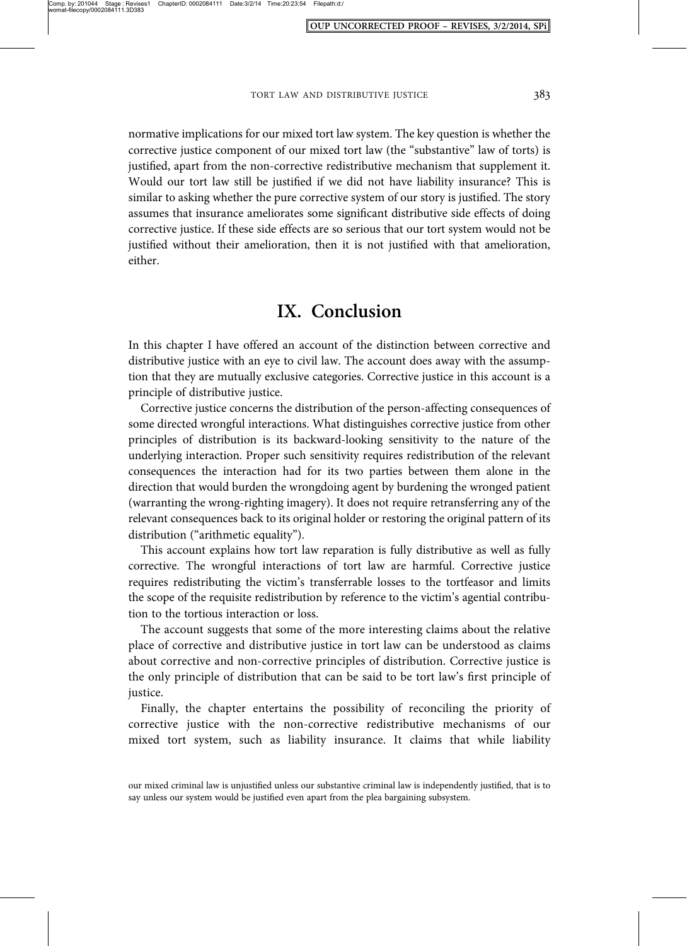TORT LAW AND DISTRIBUTIVE JUSTICE 383

normative implications for our mixed tort law system. The key question is whether the corrective justice component of our mixed tort law (the "substantive" law of torts) is justified, apart from the non-corrective redistributive mechanism that supplement it. Would our tort law still be justified if we did not have liability insurance? This is similar to asking whether the pure corrective system of our story is justified. The story assumes that insurance ameliorates some significant distributive side effects of doing corrective justice. If these side effects are so serious that our tort system would not be justified without their amelioration, then it is not justified with that amelioration, either.

## IX. Conclusion

In this chapter I have offered an account of the distinction between corrective and distributive justice with an eye to civil law. The account does away with the assumption that they are mutually exclusive categories. Corrective justice in this account is a principle of distributive justice.

Corrective justice concerns the distribution of the person-affecting consequences of some directed wrongful interactions. What distinguishes corrective justice from other principles of distribution is its backward-looking sensitivity to the nature of the underlying interaction. Proper such sensitivity requires redistribution of the relevant consequences the interaction had for its two parties between them alone in the direction that would burden the wrongdoing agent by burdening the wronged patient (warranting the wrong-righting imagery). It does not require retransferring any of the relevant consequences back to its original holder or restoring the original pattern of its distribution ("arithmetic equality").

This account explains how tort law reparation is fully distributive as well as fully corrective. The wrongful interactions of tort law are harmful. Corrective justice requires redistributing the victim's transferrable losses to the tortfeasor and limits the scope of the requisite redistribution by reference to the victim's agential contribution to the tortious interaction or loss.

The account suggests that some of the more interesting claims about the relative place of corrective and distributive justice in tort law can be understood as claims about corrective and non-corrective principles of distribution. Corrective justice is the only principle of distribution that can be said to be tort law's first principle of justice.

Finally, the chapter entertains the possibility of reconciling the priority of corrective justice with the non-corrective redistributive mechanisms of our mixed tort system, such as liability insurance. It claims that while liability

our mixed criminal law is unjustified unless our substantive criminal law is independently justified, that is to say unless our system would be justified even apart from the plea bargaining subsystem.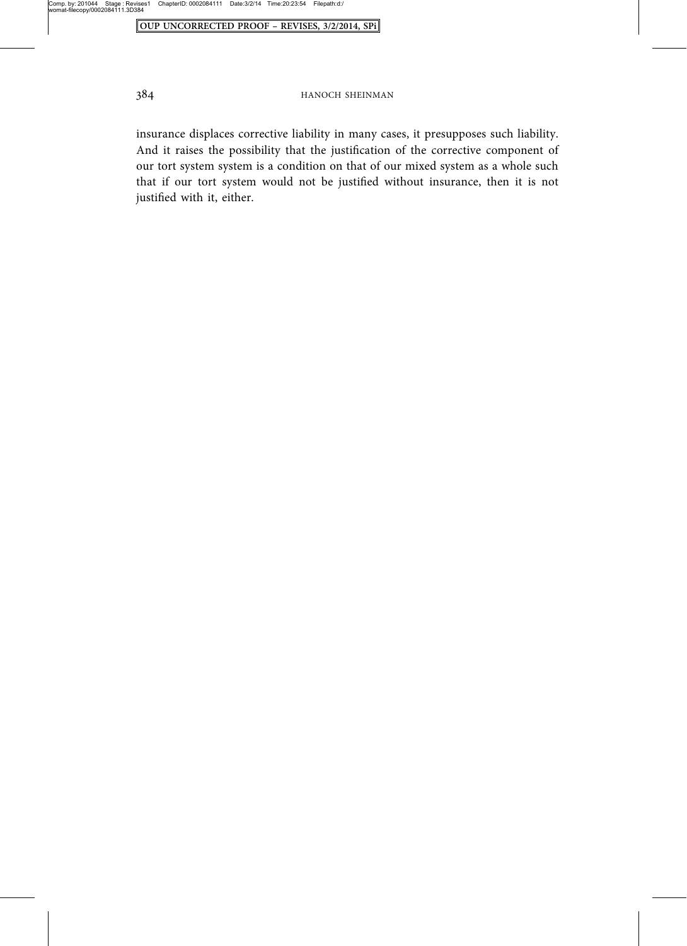#### 384 HANOCH SHEINMAN

insurance displaces corrective liability in many cases, it presupposes such liability. And it raises the possibility that the justification of the corrective component of our tort system system is a condition on that of our mixed system as a whole such that if our tort system would not be justified without insurance, then it is not justified with it, either.